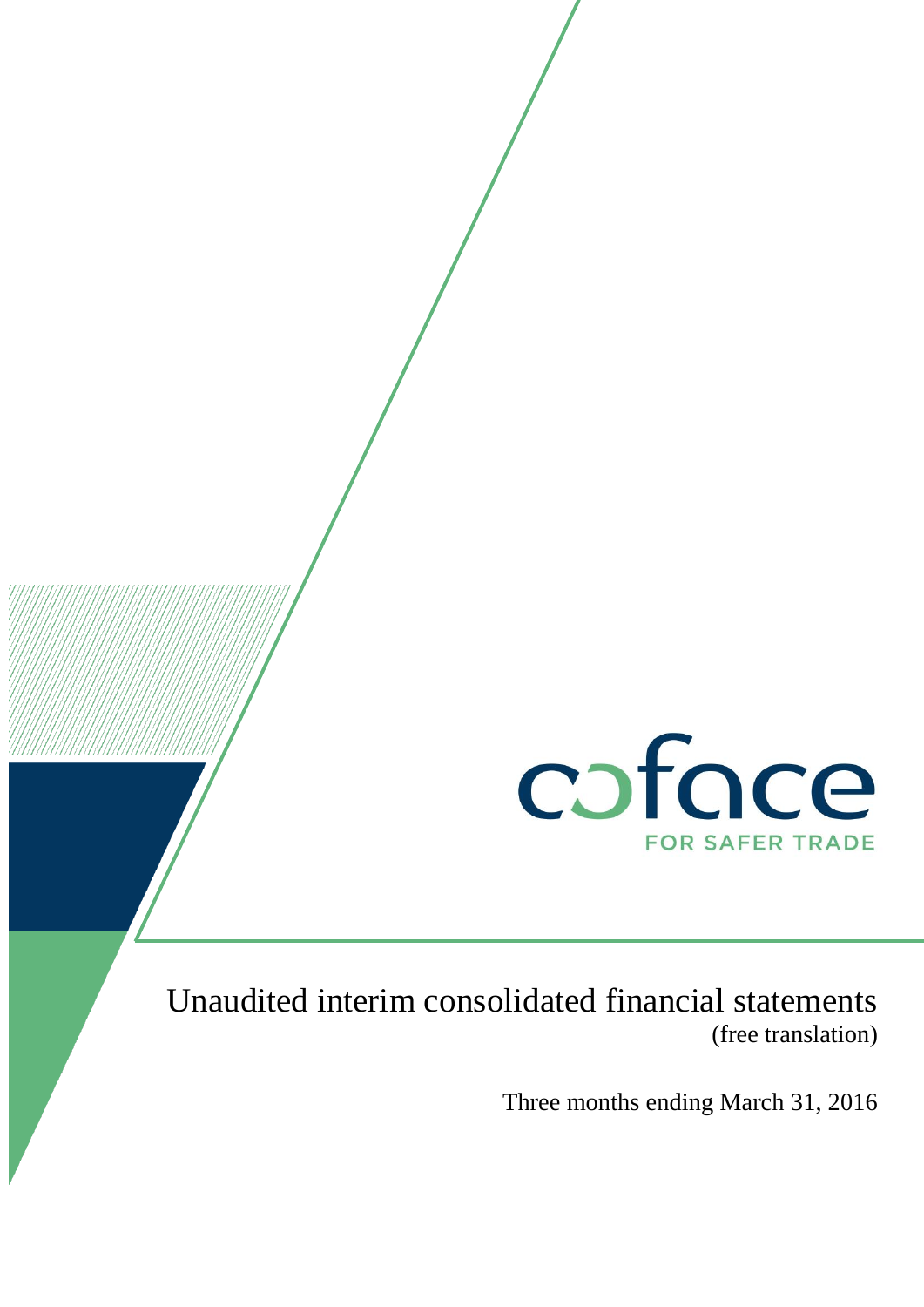

# Unaudited interim consolidated financial statements (free translation)

Three months ending March 31, 2016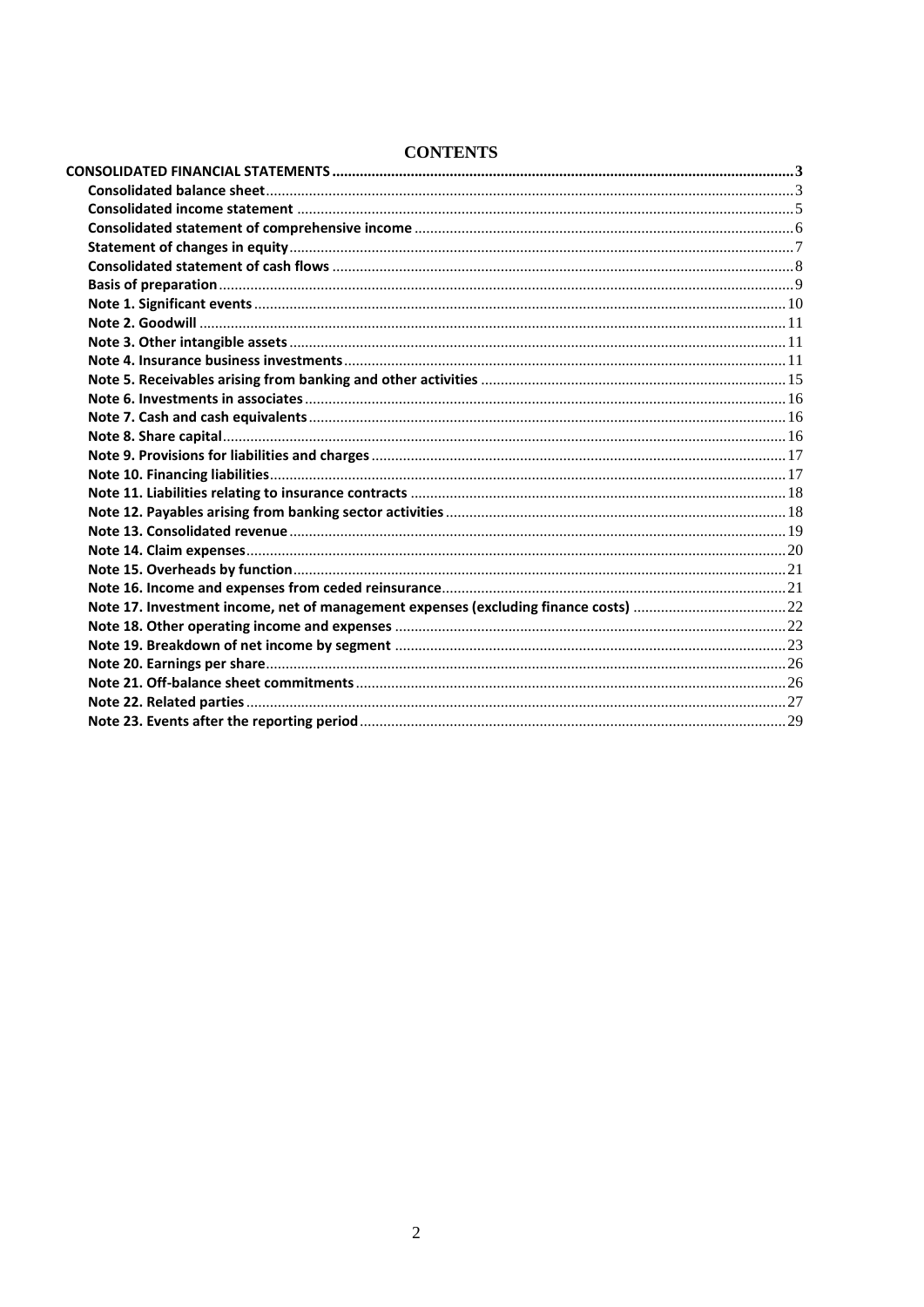### **CONTENTS**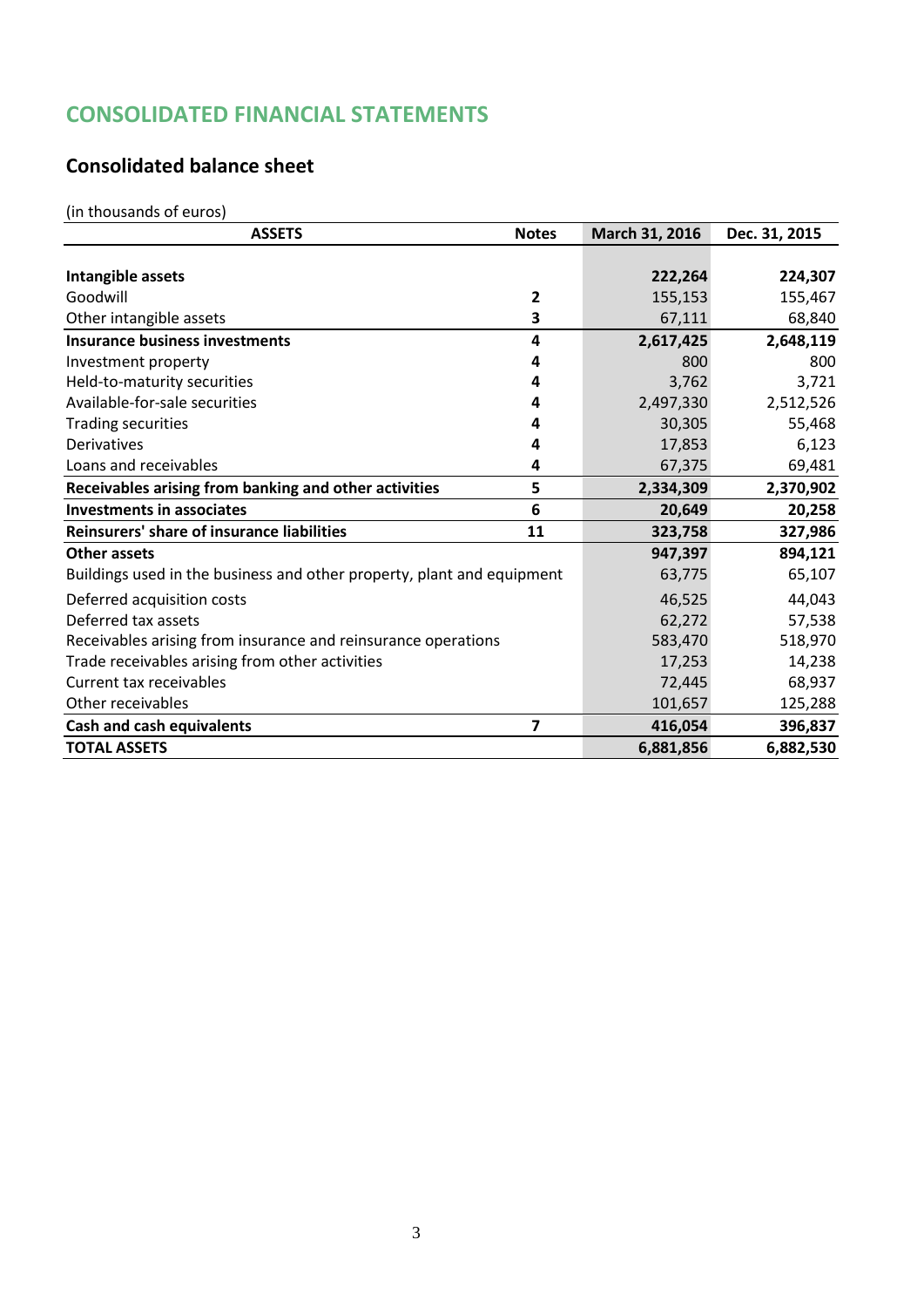# <span id="page-2-0"></span>**CONSOLIDATED FINANCIAL STATEMENTS**

## <span id="page-2-1"></span>**Consolidated balance sheet**

(in thousands of euros)

| <b>ASSETS</b>                                                          | <b>Notes</b>            | March 31, 2016 | Dec. 31, 2015 |
|------------------------------------------------------------------------|-------------------------|----------------|---------------|
|                                                                        |                         |                |               |
| Intangible assets                                                      |                         | 222,264        | 224,307       |
| Goodwill                                                               | 2                       | 155,153        | 155,467       |
| Other intangible assets                                                | 3                       | 67,111         | 68,840        |
| <b>Insurance business investments</b>                                  | 4                       | 2,617,425      | 2,648,119     |
| Investment property                                                    | 4                       | 800            | 800           |
| Held-to-maturity securities                                            | 4                       | 3,762          | 3,721         |
| Available-for-sale securities                                          | 4                       | 2,497,330      | 2,512,526     |
| <b>Trading securities</b>                                              | 4                       | 30,305         | 55,468        |
| Derivatives                                                            | 4                       | 17,853         | 6,123         |
| Loans and receivables                                                  | 4                       | 67,375         | 69,481        |
| Receivables arising from banking and other activities                  | 5                       | 2,334,309      | 2,370,902     |
| <b>Investments in associates</b>                                       | 6                       | 20,649         | 20,258        |
| Reinsurers' share of insurance liabilities                             | 11                      | 323,758        | 327,986       |
| <b>Other assets</b>                                                    |                         | 947,397        | 894,121       |
| Buildings used in the business and other property, plant and equipment |                         | 63,775         | 65,107        |
| Deferred acquisition costs                                             |                         | 46,525         | 44,043        |
| Deferred tax assets                                                    |                         | 62,272         | 57,538        |
| Receivables arising from insurance and reinsurance operations          |                         | 583,470        | 518,970       |
| Trade receivables arising from other activities                        |                         | 17,253         | 14,238        |
| Current tax receivables                                                |                         | 72,445         | 68,937        |
| Other receivables                                                      |                         | 101,657        | 125,288       |
| <b>Cash and cash equivalents</b>                                       | $\overline{\mathbf{z}}$ | 416,054        | 396,837       |
| <b>TOTAL ASSETS</b>                                                    |                         | 6,881,856      | 6,882,530     |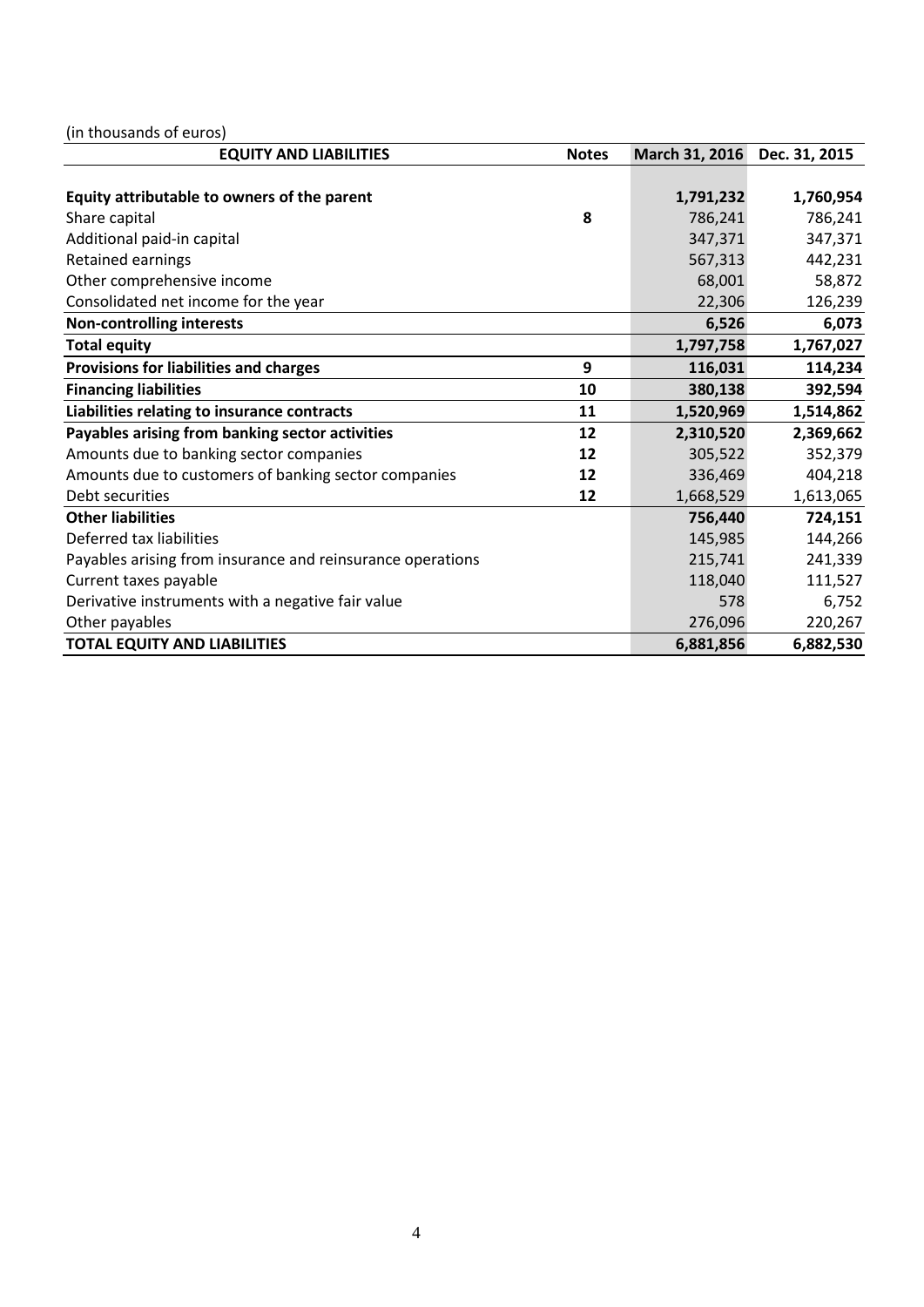(in thousands of euros)

| <b>EQUITY AND LIABILITIES</b>                              | <b>Notes</b> | March 31, 2016 | Dec. 31, 2015 |
|------------------------------------------------------------|--------------|----------------|---------------|
|                                                            |              |                |               |
| Equity attributable to owners of the parent                |              | 1,791,232      | 1,760,954     |
| Share capital                                              | 8            | 786,241        | 786,241       |
| Additional paid-in capital                                 |              | 347,371        | 347,371       |
| Retained earnings                                          |              | 567,313        | 442,231       |
| Other comprehensive income                                 |              | 68,001         | 58,872        |
| Consolidated net income for the year                       |              | 22,306         | 126,239       |
| <b>Non-controlling interests</b>                           |              | 6,526          | 6,073         |
| <b>Total equity</b>                                        |              | 1,797,758      | 1,767,027     |
| <b>Provisions for liabilities and charges</b>              | 9            | 116,031        | 114,234       |
| <b>Financing liabilities</b>                               | 10           | 380,138        | 392,594       |
| Liabilities relating to insurance contracts                | 11           | 1,520,969      | 1,514,862     |
| Payables arising from banking sector activities            | 12           | 2,310,520      | 2,369,662     |
| Amounts due to banking sector companies                    | 12           | 305,522        | 352,379       |
| Amounts due to customers of banking sector companies       | 12           | 336,469        | 404,218       |
| Debt securities                                            | 12           | 1,668,529      | 1,613,065     |
| <b>Other liabilities</b>                                   |              | 756,440        | 724,151       |
| Deferred tax liabilities                                   |              | 145,985        | 144,266       |
| Payables arising from insurance and reinsurance operations |              | 215,741        | 241,339       |
| Current taxes payable                                      |              | 118,040        | 111,527       |
| Derivative instruments with a negative fair value          |              | 578            | 6,752         |
| Other payables                                             |              | 276,096        | 220,267       |
| <b>TOTAL EQUITY AND LIABILITIES</b>                        |              | 6,881,856      | 6,882,530     |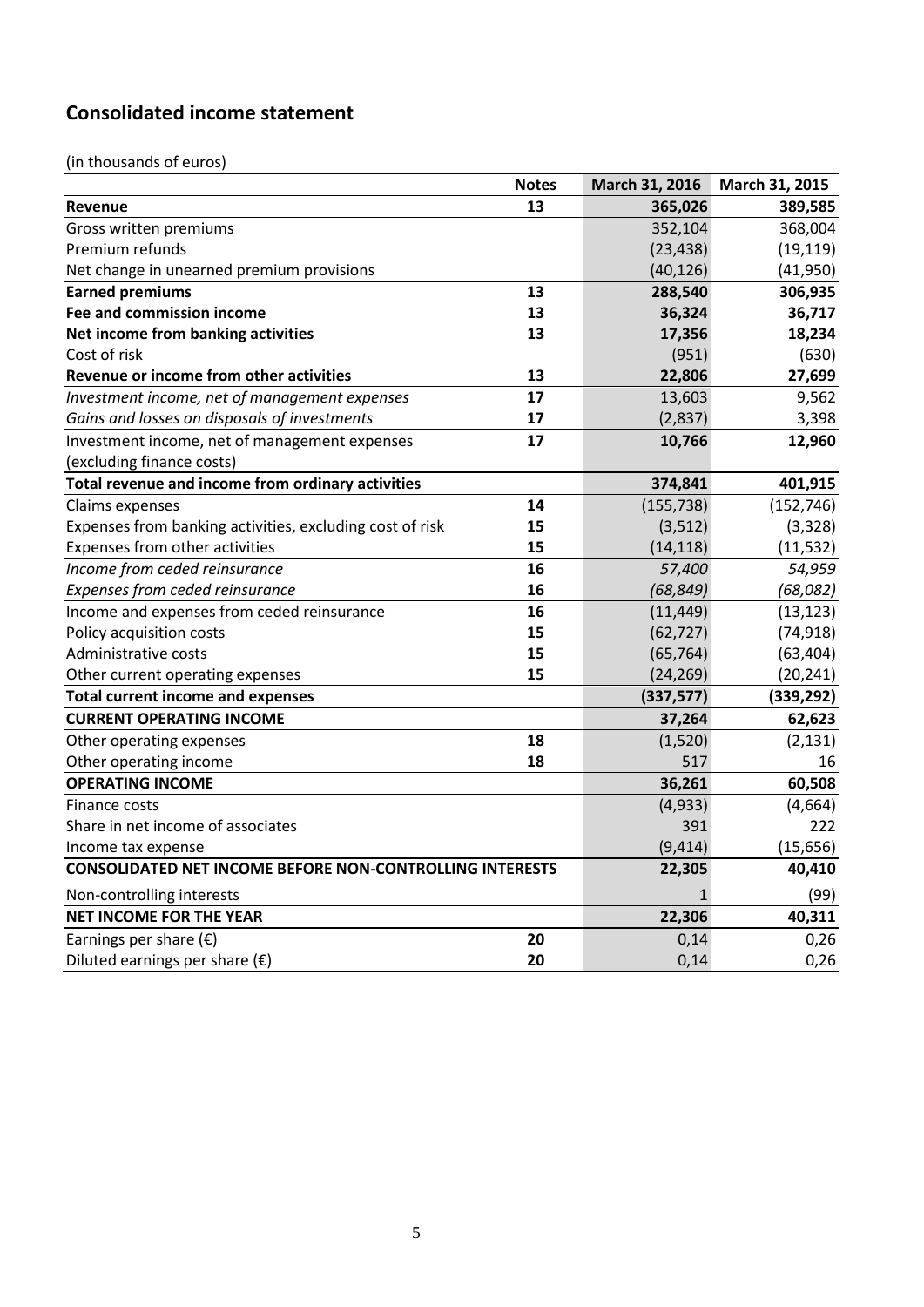# <span id="page-4-0"></span>**Consolidated income statement**

(in thousands of euros)

|                                                                 | <b>Notes</b> | March 31, 2016 | March 31, 2015 |
|-----------------------------------------------------------------|--------------|----------------|----------------|
| Revenue                                                         | 13           | 365,026        | 389,585        |
| Gross written premiums                                          |              | 352,104        | 368,004        |
| Premium refunds                                                 |              | (23, 438)      | (19, 119)      |
| Net change in unearned premium provisions                       |              | (40, 126)      | (41,950)       |
| <b>Earned premiums</b>                                          | 13           | 288,540        | 306,935        |
| Fee and commission income                                       | 13           | 36,324         | 36,717         |
| Net income from banking activities                              | 13           | 17,356         | 18,234         |
| Cost of risk                                                    |              | (951)          | (630)          |
| Revenue or income from other activities                         | 13           | 22,806         | 27,699         |
| Investment income, net of management expenses                   | 17           | 13,603         | 9,562          |
| Gains and losses on disposals of investments                    | 17           | (2,837)        | 3,398          |
| Investment income, net of management expenses                   | 17           | 10,766         | 12,960         |
| (excluding finance costs)                                       |              |                |                |
| Total revenue and income from ordinary activities               |              | 374,841        | 401,915        |
| Claims expenses                                                 | 14           | (155, 738)     | (152, 746)     |
| Expenses from banking activities, excluding cost of risk        | 15           | (3, 512)       | (3, 328)       |
| Expenses from other activities                                  | 15           | (14, 118)      | (11, 532)      |
| Income from ceded reinsurance                                   | 16           | 57,400         | 54,959         |
| Expenses from ceded reinsurance                                 | 16           | (68, 849)      | (68,082)       |
| Income and expenses from ceded reinsurance                      | 16           | (11, 449)      | (13, 123)      |
| Policy acquisition costs                                        | 15           | (62, 727)      | (74, 918)      |
| Administrative costs                                            | 15           | (65, 764)      | (63, 404)      |
| Other current operating expenses                                | 15           | (24, 269)      | (20, 241)      |
| <b>Total current income and expenses</b>                        |              | (337,577)      | (339, 292)     |
| <b>CURRENT OPERATING INCOME</b>                                 |              | 37,264         | 62,623         |
| Other operating expenses                                        | 18           | (1,520)        | (2, 131)       |
| Other operating income                                          | 18           | 517            | 16             |
| <b>OPERATING INCOME</b>                                         |              | 36,261         | 60,508         |
| Finance costs                                                   |              | (4, 933)       | (4,664)        |
| Share in net income of associates                               |              | 391            | 222            |
| Income tax expense                                              |              | (9, 414)       | (15, 656)      |
| <b>CONSOLIDATED NET INCOME BEFORE NON-CONTROLLING INTERESTS</b> |              | 22,305         | 40,410         |
| Non-controlling interests                                       |              | $\mathbf{1}$   | (99)           |
| <b>NET INCOME FOR THE YEAR</b>                                  |              | 22,306         | 40,311         |
| Earnings per share $(\epsilon)$                                 | 20           | 0,14           | 0,26           |
| Diluted earnings per share $(\epsilon)$                         | 20           | 0,14           | 0,26           |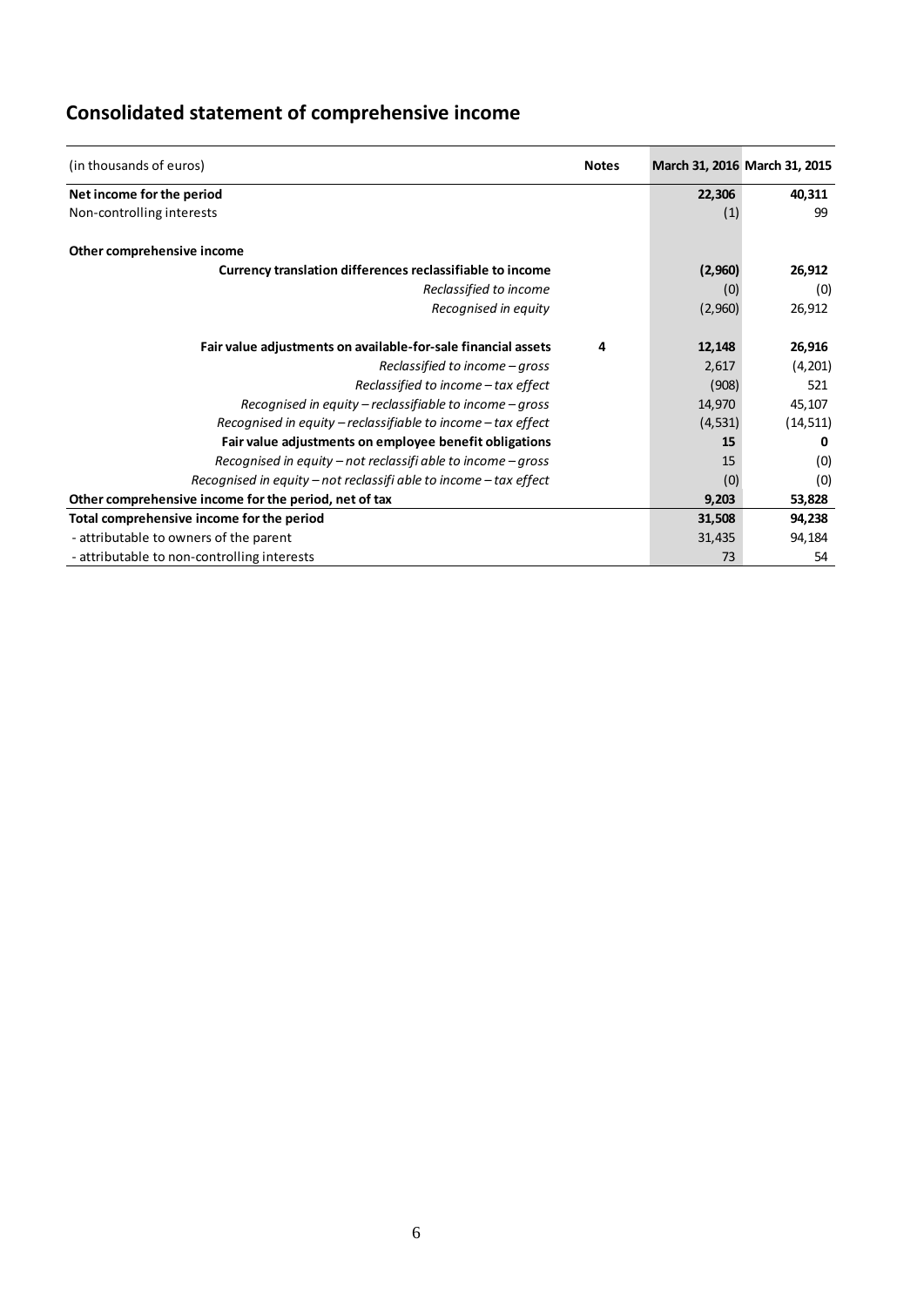| (in thousands of euros)                                           | <b>Notes</b> |         | March 31, 2016 March 31, 2015 |
|-------------------------------------------------------------------|--------------|---------|-------------------------------|
| Net income for the period                                         |              | 22,306  | 40,311                        |
| Non-controlling interests                                         |              | (1)     | 99                            |
| Other comprehensive income                                        |              |         |                               |
| Currency translation differences reclassifiable to income         |              | (2,960) | 26,912                        |
| Reclassified to income                                            |              | (0)     | (0)                           |
| Recognised in equity                                              |              | (2,960) | 26,912                        |
| Fair value adjustments on available-for-sale financial assets     | 4            | 12,148  | 26,916                        |
| Reclassified to income - gross                                    |              | 2,617   | (4,201)                       |
| Reclassified to income - tax effect                               |              | (908)   | 521                           |
| Recognised in equity – reclassifiable to income – gross           |              | 14,970  | 45,107                        |
| Recognised in equity – reclassifiable to income – tax effect      |              | (4,531) | (14, 511)                     |
| Fair value adjustments on employee benefit obligations            |              | 15      | n                             |
| Recognised in equity – not reclassifi able to income – gross      |              | 15      | (0)                           |
| Recognised in equity – not reclassifi able to income – tax effect |              | (0)     | (0)                           |
| Other comprehensive income for the period, net of tax             |              | 9,203   | 53,828                        |
| Total comprehensive income for the period                         |              | 31,508  | 94,238                        |
| - attributable to owners of the parent                            |              | 31,435  | 94,184                        |
| - attributable to non-controlling interests                       |              | 73      | 54                            |

# <span id="page-5-0"></span>**Consolidated statement of comprehensive income**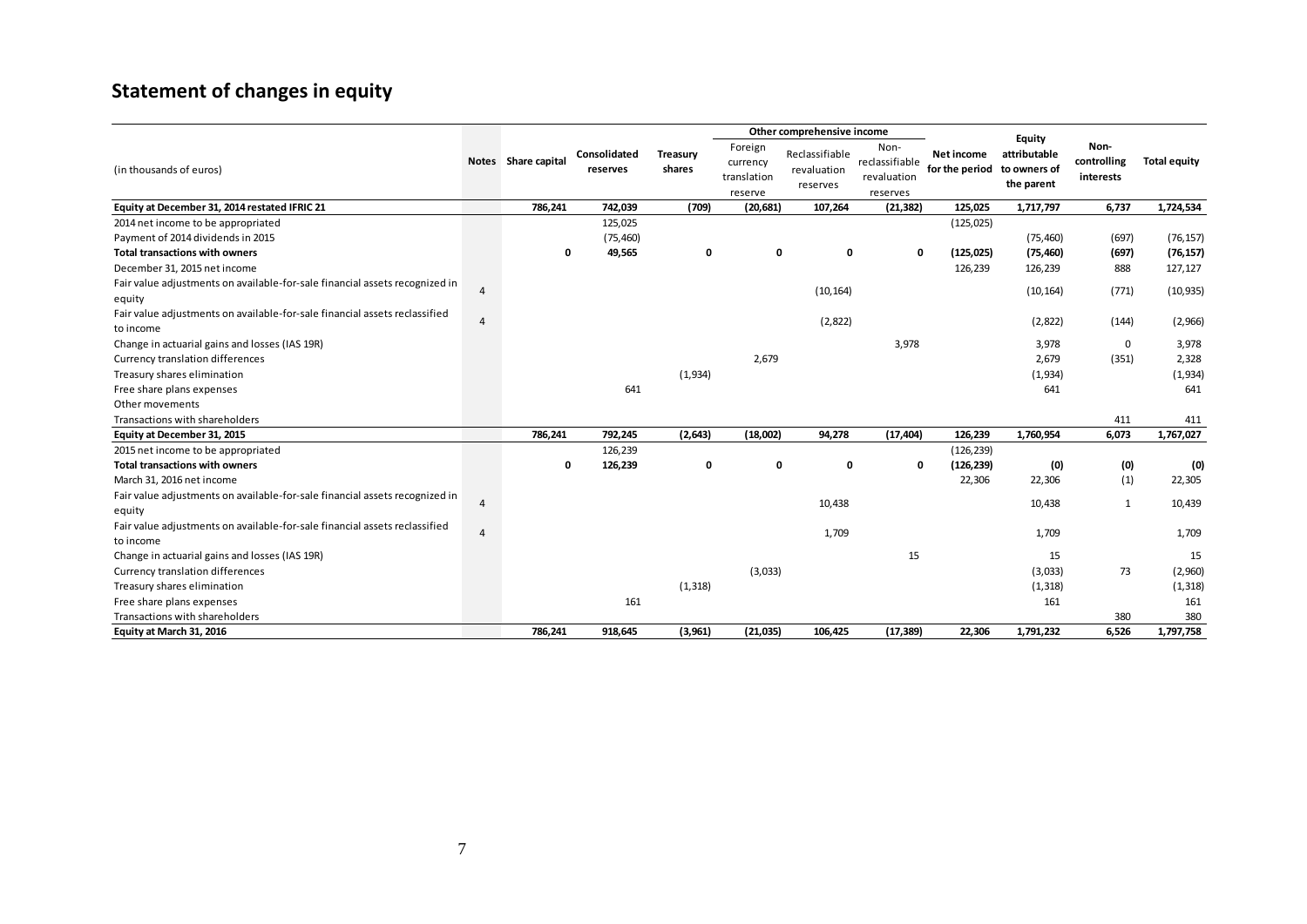# **Statement of changes in equity**

<span id="page-6-0"></span>

|                                                                             |                |                     |                          |                    | Other comprehensive income                    |                                           |                                                   |                              |                                                      |                                  |                     |
|-----------------------------------------------------------------------------|----------------|---------------------|--------------------------|--------------------|-----------------------------------------------|-------------------------------------------|---------------------------------------------------|------------------------------|------------------------------------------------------|----------------------------------|---------------------|
| (in thousands of euros)                                                     |                | Notes Share capital | Consolidated<br>reserves | Treasury<br>shares | Foreign<br>currency<br>translation<br>reserve | Reclassifiable<br>revaluation<br>reserves | Non-<br>reclassifiable<br>revaluation<br>reserves | Net income<br>for the period | Equity<br>attributable<br>to owners of<br>the parent | Non-<br>controlling<br>interests | <b>Total equity</b> |
| Equity at December 31, 2014 restated IFRIC 21                               |                | 786,241             | 742,039                  | (709)              | (20, 681)                                     | 107,264                                   | (21, 382)                                         | 125,025                      | 1,717,797                                            | 6,737                            | 1,724,534           |
| 2014 net income to be appropriated                                          |                |                     | 125,025                  |                    |                                               |                                           |                                                   | (125, 025)                   |                                                      |                                  |                     |
| Payment of 2014 dividends in 2015                                           |                |                     | (75, 460)                |                    |                                               |                                           |                                                   |                              | (75, 460)                                            | (697)                            | (76, 157)           |
| <b>Total transactions with owners</b>                                       |                | 0                   | 49,565                   | 0                  | 0                                             | 0                                         | 0                                                 | (125, 025)                   | (75, 460)                                            | (697)                            | (76, 157)           |
| December 31, 2015 net income                                                |                |                     |                          |                    |                                               |                                           |                                                   | 126,239                      | 126,239                                              | 888                              | 127,127             |
| Fair value adjustments on available-for-sale financial assets recognized in | $\overline{4}$ |                     |                          |                    |                                               | (10, 164)                                 |                                                   |                              | (10, 164)                                            | (771)                            | (10, 935)           |
| equity                                                                      |                |                     |                          |                    |                                               |                                           |                                                   |                              |                                                      |                                  |                     |
| Fair value adjustments on available-for-sale financial assets reclassified  | $\overline{4}$ |                     |                          |                    |                                               | (2,822)                                   |                                                   |                              | (2,822)                                              | (144)                            | (2,966)             |
| to income                                                                   |                |                     |                          |                    |                                               |                                           |                                                   |                              |                                                      |                                  |                     |
| Change in actuarial gains and losses (IAS 19R)                              |                |                     |                          |                    |                                               |                                           | 3,978                                             |                              | 3,978                                                | 0                                | 3,978               |
| Currency translation differences                                            |                |                     |                          |                    | 2,679                                         |                                           |                                                   |                              | 2,679                                                | (351)                            | 2,328               |
| Treasury shares elimination                                                 |                |                     |                          | (1,934)            |                                               |                                           |                                                   |                              | (1,934)                                              |                                  | (1,934)             |
| Free share plans expenses                                                   |                |                     | 641                      |                    |                                               |                                           |                                                   |                              | 641                                                  |                                  | 641                 |
| Other movements                                                             |                |                     |                          |                    |                                               |                                           |                                                   |                              |                                                      |                                  |                     |
| Transactions with shareholders                                              |                |                     |                          |                    |                                               |                                           |                                                   |                              |                                                      | 411                              | 411                 |
| Equity at December 31, 2015                                                 |                | 786,241             | 792,245                  | (2,643)            | (18,002)                                      | 94,278                                    | (17, 404)                                         | 126,239                      | 1,760,954                                            | 6,073                            | 1,767,027           |
| 2015 net income to be appropriated                                          |                |                     | 126,239                  |                    |                                               |                                           |                                                   | (126, 239)                   |                                                      |                                  |                     |
| <b>Total transactions with owners</b>                                       |                | 0                   | 126,239                  | 0                  | 0                                             | 0                                         | 0                                                 | (126, 239)                   | (0)                                                  | (0)                              | (0)                 |
| March 31, 2016 net income                                                   |                |                     |                          |                    |                                               |                                           |                                                   | 22,306                       | 22,306                                               | (1)                              | 22,305              |
| Fair value adjustments on available-for-sale financial assets recognized in | $\overline{4}$ |                     |                          |                    |                                               | 10,438                                    |                                                   |                              | 10,438                                               | $\mathbf{1}$                     | 10,439              |
| equity                                                                      |                |                     |                          |                    |                                               |                                           |                                                   |                              |                                                      |                                  |                     |
| Fair value adjustments on available-for-sale financial assets reclassified  | $\overline{4}$ |                     |                          |                    |                                               | 1,709                                     |                                                   |                              | 1,709                                                |                                  | 1,709               |
| to income                                                                   |                |                     |                          |                    |                                               |                                           |                                                   |                              |                                                      |                                  |                     |
| Change in actuarial gains and losses (IAS 19R)                              |                |                     |                          |                    |                                               |                                           | 15                                                |                              | 15                                                   |                                  | 15                  |
| Currency translation differences                                            |                |                     |                          |                    | (3,033)                                       |                                           |                                                   |                              | (3,033)                                              | 73                               | (2,960)             |
| Treasury shares elimination                                                 |                |                     |                          | (1, 318)           |                                               |                                           |                                                   |                              | (1, 318)                                             |                                  | (1, 318)            |
| Free share plans expenses                                                   |                |                     | 161                      |                    |                                               |                                           |                                                   |                              | 161                                                  |                                  | 161                 |
| Transactions with shareholders                                              |                |                     |                          |                    |                                               |                                           |                                                   |                              |                                                      | 380                              | 380                 |
| Equity at March 31, 2016                                                    |                | 786,241             | 918,645                  | (3,961)            | (21, 035)                                     | 106,425                                   | (17, 389)                                         | 22,306                       | 1,791,232                                            | 6,526                            | 1,797,758           |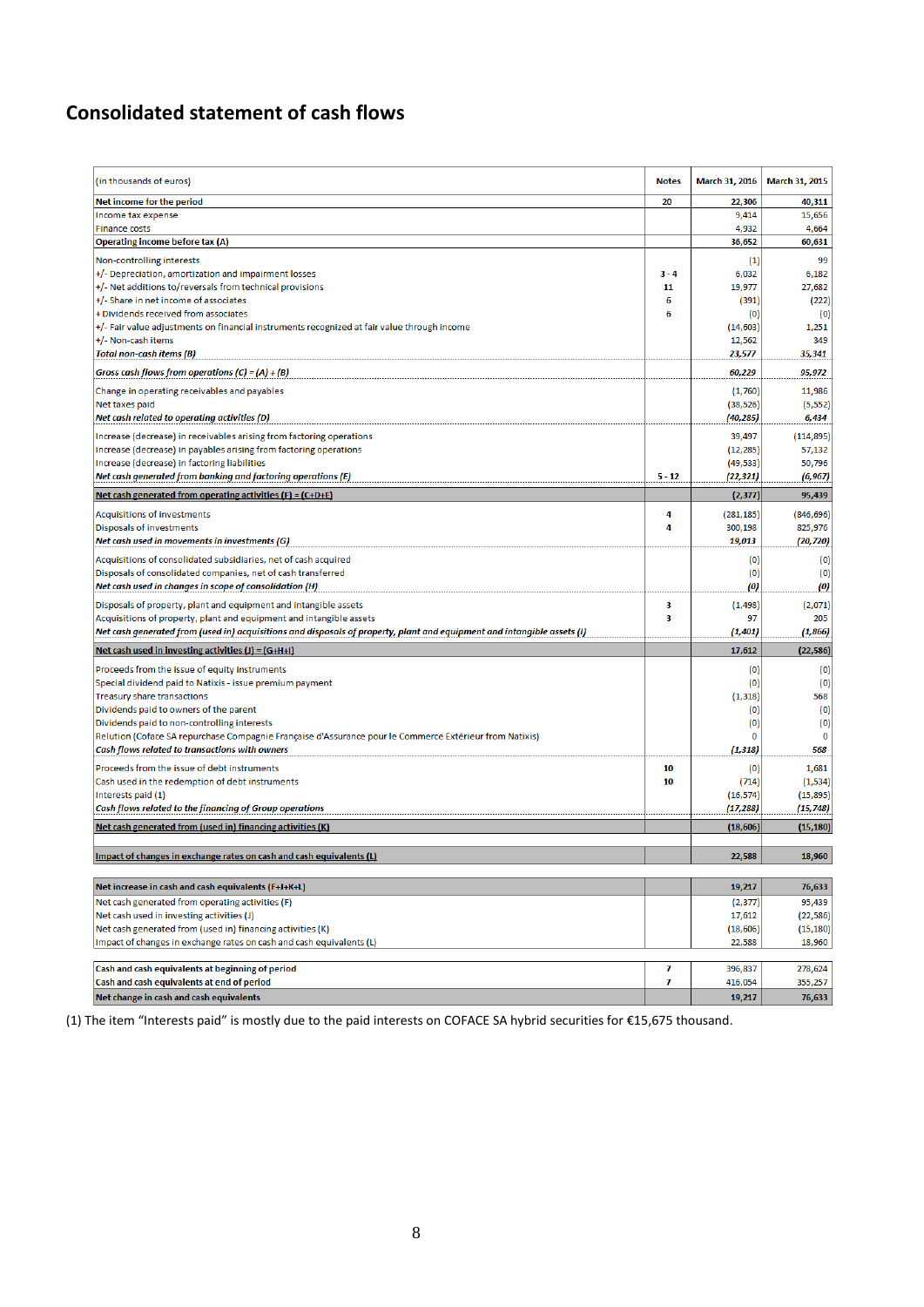## <span id="page-7-0"></span>**Consolidated statement of cash flows**

| (in thousands of euros)                                                                                                 | <b>Notes</b> | March 31, 2016    | March 31, 2015 |
|-------------------------------------------------------------------------------------------------------------------------|--------------|-------------------|----------------|
| Net income for the period                                                                                               | 20           | 22,306            | 40,311         |
| Income tax expense                                                                                                      |              | 9,414             | 15,656         |
| <b>Finance costs</b>                                                                                                    |              | 4,932             | 4,664          |
| Operating income before tax (A)                                                                                         |              | 36,652            | 60,631         |
| Non-controlling interests                                                                                               |              | (1)               | 99             |
| +/- Depreciation, amortization and impairment losses                                                                    | $3 - 4$      | 6,032             | 6,182          |
| +/- Net additions to/reversals from technical provisions                                                                | 11           | 19,977            | 27,682         |
| +/- Share in net income of associates                                                                                   | 6            | (391)             | (222)          |
| + Dividends received from associates                                                                                    | 6            | (0)               | (0)            |
| +/- Fair value adjustments on financial instruments recognized at fair value through income                             |              | (14, 603)         | 1,251          |
| +/- Non-cash items<br><b>Total non-cash items (B)</b>                                                                   |              | 12,562<br>23,577  | 349<br>35,341  |
| Gross cash flows from operations (C) = (A) + (B)                                                                        |              | 60,229            | 95,972         |
|                                                                                                                         |              |                   |                |
| Change in operating receivables and payables                                                                            |              | (1,760)           | 11,986         |
| Net taxes paid                                                                                                          |              | (38, 526)         | (5, 552)       |
| Net cash related to operating activities (D)                                                                            |              | (40,285)          | 6,434          |
| Increase (decrease) in receivables arising from factoring operations                                                    |              | 39,497            | (114, 895)     |
| Increase (decrease) in payables arising from factoring operations                                                       |              | (12, 285)         | 57,132         |
| Increase (decrease) in factoring liabilities                                                                            |              | (49, 533)         | 50,796         |
| Net cash generated from banking and factoring operations (E)                                                            | $5 - 12$     | (22, 321)         | (6, 967)       |
| Net cash generated from operating activities $(F) = (C+D+E)$                                                            |              | (2, 377)          | 95,439         |
| Acquisitions of investments                                                                                             | 4            | (281, 185)        | (846, 696)     |
| Disposals of investments                                                                                                | 4            | 300,198           | 825,976        |
| Net cash used in movements in investments (G)                                                                           |              | 19,013            | (20, 720)      |
| Acquisitions of consolidated subsidiaries, net of cash acquired                                                         |              | (0)               | (0)            |
| Disposals of consolidated companies, net of cash transferred                                                            |              | (0)               | (0)            |
| Net cash used in changes in scope of consolidation (H)                                                                  |              | $\left( 0\right)$ | (0)            |
| Disposals of property, plant and equipment and intangible assets                                                        | 3            | (1, 498)          | (2,071)        |
| Acquisitions of property, plant and equipment and intangible assets                                                     | 3            | 97                | 205            |
| Net cash generated from (used in) acquisitions and disposals of property, plant and equipment and intangible assets (I) |              | (1, 401)          | (1,866)        |
| Net cash used in investing activities $(J) = (G+H+I)$                                                                   |              | 17,612            | (22, 586)      |
|                                                                                                                         |              |                   |                |
| Proceeds from the issue of equity instruments                                                                           |              | (0)               | (0)            |
| Special dividend paid to Natixis - issue premium payment                                                                |              | (0)               | (0)            |
| Treasury share transactions<br>Dividends paid to owners of the parent                                                   |              | (1, 318)          | 568            |
| Dividends paid to non-controlling interests                                                                             |              | (0)<br>(0)        | (0)<br>(0)     |
| Relution (Coface SA repurchase Compagnie Française d'Assurance pour le Commerce Extérieur from Natixis)                 |              | 0                 | 0              |
| Cash flows related to transactions with owners                                                                          |              | (1, 318)          | 568            |
| Proceeds from the issue of debt instruments                                                                             | 10           | (0)               | 1,681          |
| Cash used in the redemption of debt instruments                                                                         | 10           | (714)             | (1, 534)       |
| Interests paid (1)                                                                                                      |              | (16, 574)         | (15, 895)      |
| Cash flows related to the financing of Group operations                                                                 |              | (17, 288)         | (15, 748)      |
| Net cash generated from (used in) financing activities (K)                                                              |              | (18, 606)         | (15, 180)      |
|                                                                                                                         |              |                   |                |
| Impact of changes in exchange rates on cash and cash equivalents (L)                                                    |              | 22,588            | 18,960         |
| Net increase in cash and cash equivalents (F+J+K+L)                                                                     |              | 19,217            | 76,633         |
| Net cash generated from operating activities (F)                                                                        |              | (2, 377)          | 95,439         |
| Net cash used in investing activities (J)                                                                               |              | 17,612            | (22, 586)      |
| Net cash generated from (used in) financing activities (K)                                                              |              | (18, 606)         | (15, 180)      |
| Impact of changes in exchange rates on cash and cash equivalents (L)                                                    |              | 22,588            | 18,960         |
|                                                                                                                         |              |                   |                |
| Cash and cash equivalents at beginning of period                                                                        | 7            | 396,837           | 278,624        |
| Cash and cash equivalents at end of period                                                                              | 7            | 416,054           | 355,257        |
| Net change in cash and cash equivalents                                                                                 |              | 19,217            | 76,633         |

(1) The item "Interests paid" is mostly due to the paid interests on COFACE SA hybrid securities for €15,675 thousand.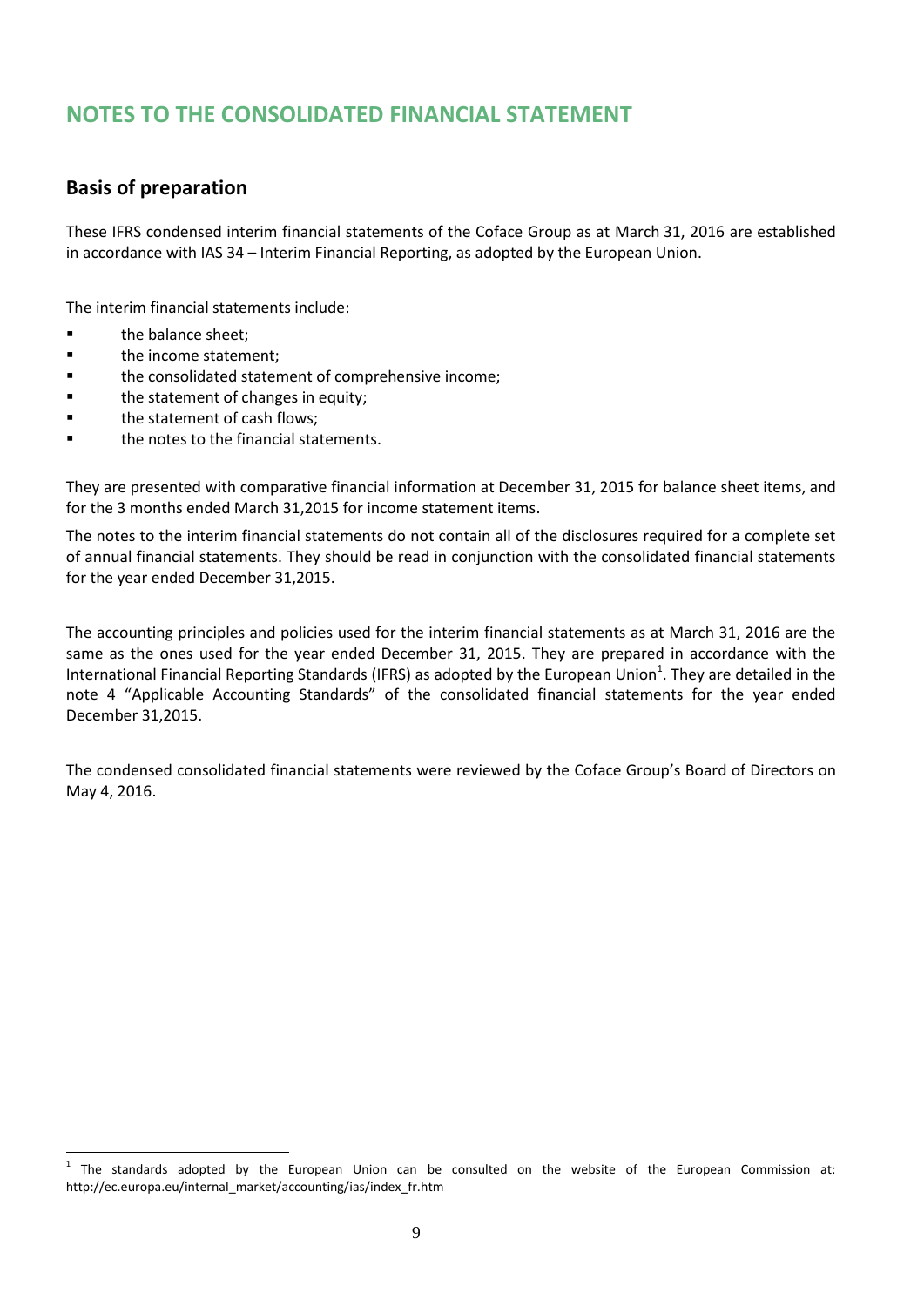# **NOTES TO THE CONSOLIDATED FINANCIAL STATEMENT**

### <span id="page-8-0"></span>**Basis of preparation**

These IFRS condensed interim financial statements of the Coface Group as at March 31, 2016 are established in accordance with IAS 34 – Interim Financial Reporting, as adopted by the European Union.

The interim financial statements include:

**the balance sheet:** 

 $\overline{a}$ 

- **the income statement;**
- **the consolidated statement of comprehensive income;**
- **the statement of changes in equity;**
- **the statement of cash flows:**
- **the notes to the financial statements.**

They are presented with comparative financial information at December 31, 2015 for balance sheet items, and for the 3 months ended March 31,2015 for income statement items.

The notes to the interim financial statements do not contain all of the disclosures required for a complete set of annual financial statements. They should be read in conjunction with the consolidated financial statements for the year ended December 31,2015.

The accounting principles and policies used for the interim financial statements as at March 31, 2016 are the same as the ones used for the year ended December 31, 2015. They are prepared in accordance with the International Financial Reporting Standards (IFRS) as adopted by the European Union<sup>1</sup>. They are detailed in the note 4 "Applicable Accounting Standards" of the consolidated financial statements for the year ended December 31,2015.

The condensed consolidated financial statements were reviewed by the Coface Group's Board of Directors on May 4, 2016.

 $1$  The standards adopted by the European Union can be consulted on the website of the European Commission at: http://ec.europa.eu/internal\_market/accounting/ias/index\_fr.htm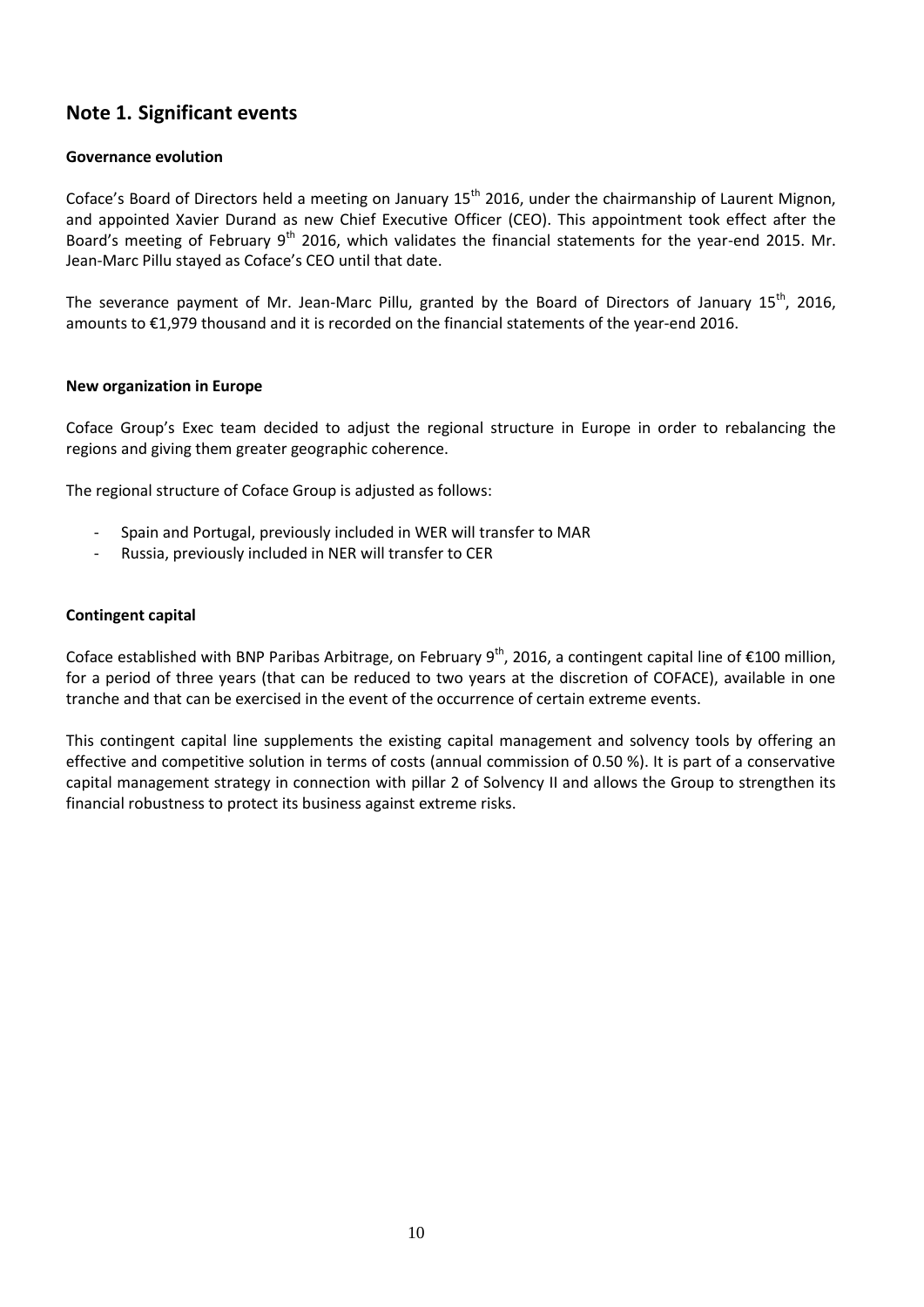### <span id="page-9-0"></span>**Note 1. Significant events**

#### **Governance evolution**

Coface's Board of Directors held a meeting on January 15<sup>th</sup> 2016, under the chairmanship of Laurent Mignon, and appointed Xavier Durand as new Chief Executive Officer (CEO). This appointment took effect after the Board's meeting of February  $9<sup>th</sup>$  2016, which validates the financial statements for the year-end 2015. Mr. Jean-Marc Pillu stayed as Coface's CEO until that date.

The severance payment of Mr. Jean-Marc Pillu, granted by the Board of Directors of January 15<sup>th</sup>, 2016, amounts to €1,979 thousand and it is recorded on the financial statements of the year-end 2016.

#### **New organization in Europe**

Coface Group's Exec team decided to adjust the regional structure in Europe in order to rebalancing the regions and giving them greater geographic coherence.

The regional structure of Coface Group is adjusted as follows:

- Spain and Portugal, previously included in WER will transfer to MAR
- Russia, previously included in NER will transfer to CER

#### **Contingent capital**

Coface established with BNP Paribas Arbitrage, on February  $9^{th}$ , 2016, a contingent capital line of €100 million, for a period of three years (that can be reduced to two years at the discretion of COFACE), available in one tranche and that can be exercised in the event of the occurrence of certain extreme events.

This contingent capital line supplements the existing capital management and solvency tools by offering an effective and competitive solution in terms of costs (annual commission of 0.50 %). It is part of a conservative capital management strategy in connection with pillar 2 of Solvency II and allows the Group to strengthen its financial robustness to protect its business against extreme risks.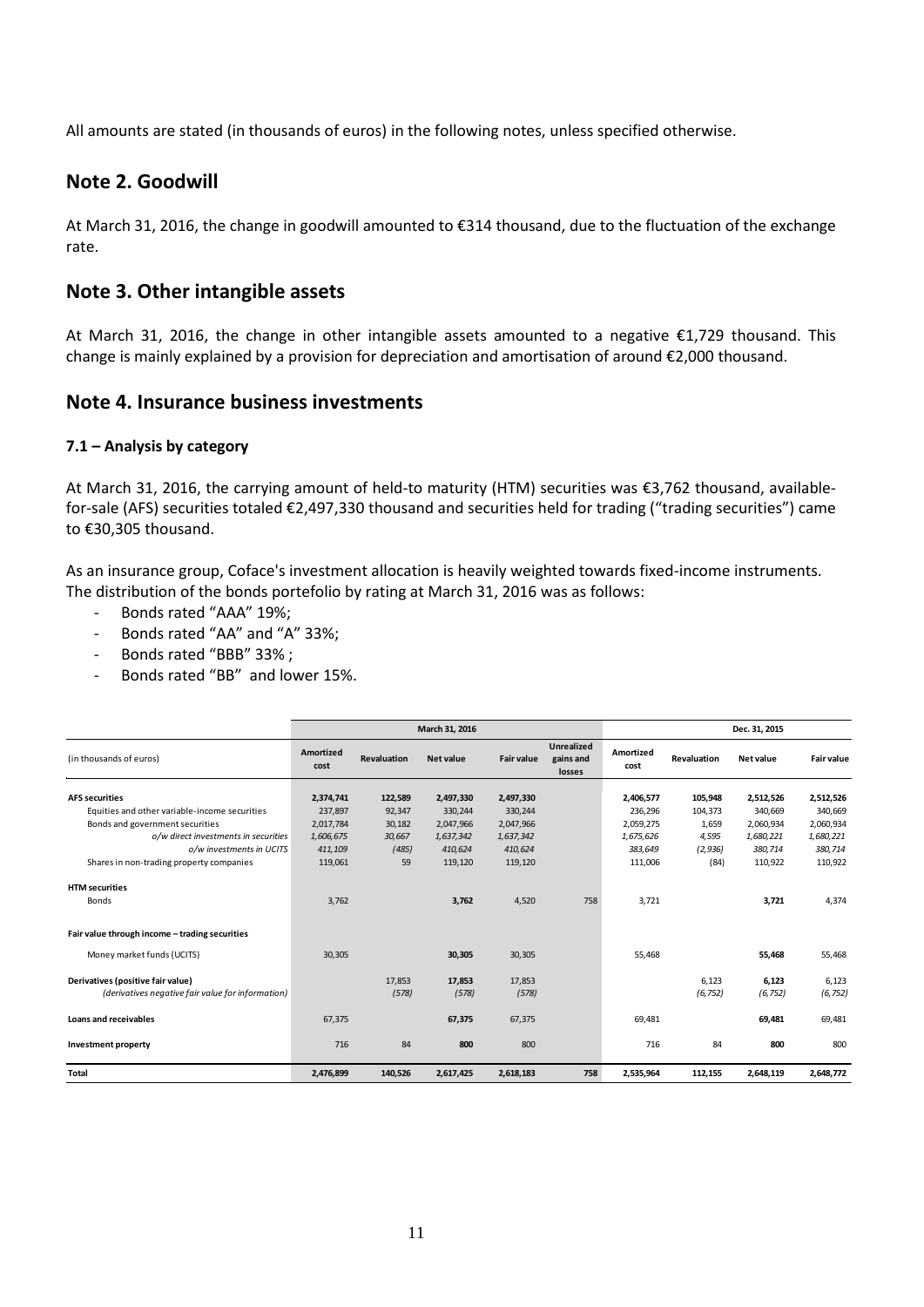All amounts are stated (in thousands of euros) in the following notes, unless specified otherwise.

#### <span id="page-10-0"></span>**Note 2. Goodwill**

At March 31, 2016, the change in goodwill amounted to €314 thousand, due to the fluctuation of the exchange rate.

#### <span id="page-10-1"></span>**Note 3. Other intangible assets**

At March 31, 2016, the change in other intangible assets amounted to a negative €1,729 thousand. This change is mainly explained by a provision for depreciation and amortisation of around €2,000 thousand.

#### <span id="page-10-2"></span>**Note 4. Insurance business investments**

#### **7.1 – Analysis by category**

At March 31, 2016, the carrying amount of held-to maturity (HTM) securities was €3,762 thousand, availablefor-sale (AFS) securities totaled €2,497,330 thousand and securities held for trading ("trading securities") came to €30,305 thousand.

As an insurance group, Coface's investment allocation is heavily weighted towards fixed-income instruments. The distribution of the bonds portefolio by rating at March 31, 2016 was as follows:

- Bonds rated "AAA" 19%;
- Bonds rated "AA" and "A" 33%;
- Bonds rated "BBB" 33% ;
- Bonds rated "BB" and lower 15%.

|                                                   |                          |                    | March 31, 2016   |                   |                                          |                   | Dec. 31, 2015 |           |                   |
|---------------------------------------------------|--------------------------|--------------------|------------------|-------------------|------------------------------------------|-------------------|---------------|-----------|-------------------|
| (in thousands of euros)                           | <b>Amortized</b><br>cost | <b>Revaluation</b> | <b>Net value</b> | <b>Fair value</b> | <b>Unrealized</b><br>gains and<br>losses | Amortized<br>cost | Revaluation   | Net value | <b>Fair value</b> |
| <b>AFS securities</b>                             | 2,374,741                | 122,589            | 2,497,330        | 2,497,330         |                                          | 2,406,577         | 105,948       | 2,512,526 | 2,512,526         |
| Equities and other variable-income securities     | 237,897                  | 92,347             | 330,244          | 330,244           |                                          | 236,296           | 104,373       | 340,669   | 340,669           |
| Bonds and government securities                   | 2,017,784                | 30,182             | 2,047,966        | 2,047,966         |                                          | 2,059,275         | 1,659         | 2,060,934 | 2,060,934         |
| o/w direct investments in securities              | 1,606,675                | 30,667             | 1,637,342        | 1,637,342         |                                          | 1,675,626         | 4,595         | 1,680,221 | 1,680,221         |
| o/w investments in UCITS                          | 411,109                  | (485)              | 410,624          | 410,624           |                                          | 383,649           | (2, 936)      | 380,714   | 380,714           |
| Shares in non-trading property companies          | 119,061                  | 59                 | 119,120          | 119,120           |                                          | 111,006           | (84)          | 110,922   | 110,922           |
|                                                   |                          |                    |                  |                   |                                          |                   |               |           |                   |
| <b>HTM</b> securities                             |                          |                    |                  |                   |                                          |                   |               |           |                   |
| <b>Bonds</b>                                      | 3.762                    |                    | 3,762            | 4,520             | 758                                      | 3,721             |               | 3,721     | 4,374             |
| Fair value through income - trading securities    |                          |                    |                  |                   |                                          |                   |               |           |                   |
| Money market funds (UCITS)                        | 30,305                   |                    | 30,305           | 30,305            |                                          | 55,468            |               | 55,468    | 55,468            |
| Derivatives (positive fair value)                 |                          | 17,853             | 17,853           | 17,853            |                                          |                   | 6,123         | 6,123     | 6,123             |
| (derivatives negative fair value for information) |                          | (578)              | (578)            | (578)             |                                          |                   | (6, 752)      | (6, 752)  | (6, 752)          |
| Loans and receivables                             | 67,375                   |                    | 67,375           | 67,375            |                                          | 69,481            |               | 69,481    | 69,481            |
| Investment property                               | 716                      | 84                 | 800              | 800               |                                          | 716               | 84            | 800       | 800               |
| <b>Total</b>                                      | 2,476,899                | 140,526            | 2,617,425        | 2,618,183         | 758                                      | 2,535,964         | 112,155       | 2,648,119 | 2,648,772         |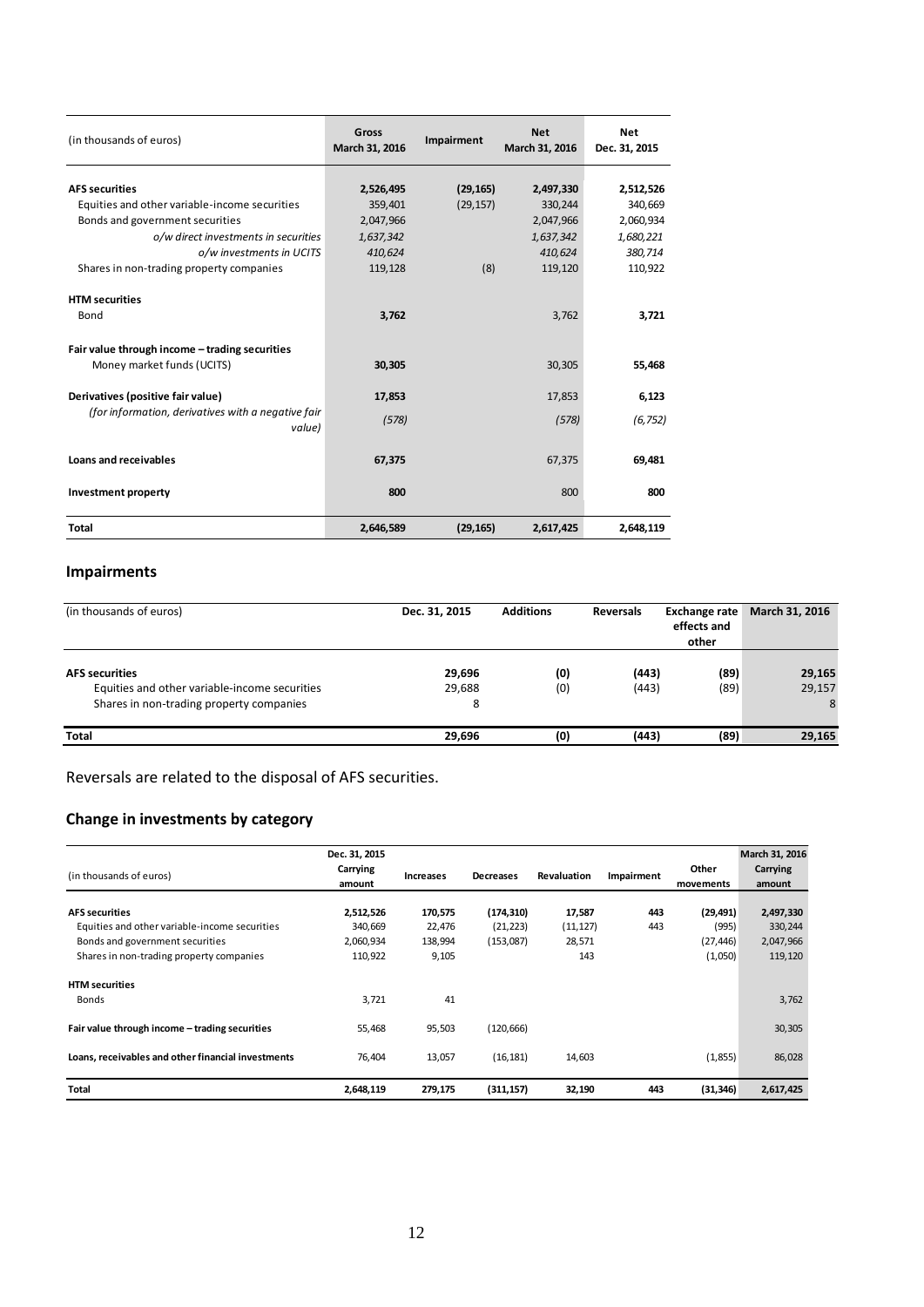| (in thousands of euros)                                                      | Gross<br>March 31, 2016 | Impairment             | <b>Net</b><br>March 31, 2016 | <b>Net</b><br>Dec. 31, 2015 |
|------------------------------------------------------------------------------|-------------------------|------------------------|------------------------------|-----------------------------|
| <b>AFS securities</b>                                                        |                         |                        |                              |                             |
| Equities and other variable-income securities                                | 2,526,495               | (29, 165)<br>(29, 157) | 2,497,330                    | 2,512,526                   |
|                                                                              | 359,401                 |                        | 330,244                      | 340,669                     |
| Bonds and government securities                                              | 2,047,966               |                        | 2,047,966                    | 2,060,934                   |
| o/w direct investments in securities                                         | 1,637,342               |                        | 1,637,342                    | 1,680,221                   |
| o/w investments in UCITS                                                     | 410,624                 |                        | 410,624                      | 380,714                     |
| Shares in non-trading property companies                                     | 119,128                 | (8)                    | 119,120                      | 110,922                     |
| <b>HTM</b> securities                                                        |                         |                        |                              |                             |
| Bond                                                                         | 3,762                   |                        | 3,762                        | 3,721                       |
| Fair value through income - trading securities<br>Money market funds (UCITS) | 30,305                  |                        | 30,305                       | 55,468                      |
| Derivatives (positive fair value)                                            | 17.853                  |                        | 17,853                       | 6,123                       |
| (for information, derivatives with a negative fair<br>value)                 | (578)                   |                        | (578)                        | (6, 752)                    |
| Loans and receivables                                                        | 67,375                  |                        | 67,375                       | 69,481                      |
| <b>Investment property</b>                                                   | 800                     |                        | 800                          | 800                         |
| <b>Total</b>                                                                 | 2,646,589               | (29, 165)              | 2.617.425                    | 2.648.119                   |

### **Impairments**

| (in thousands of euros)                                                                                            | <b>Additions</b><br>Dec. 31, 2015 |            | <b>Reversals</b> |              |                       |  | March 31, 2016 |  |
|--------------------------------------------------------------------------------------------------------------------|-----------------------------------|------------|------------------|--------------|-----------------------|--|----------------|--|
| <b>AFS</b> securities<br>Equities and other variable-income securities<br>Shares in non-trading property companies | 29,696<br>29,688<br>8             | (0)<br>(0) | (443)<br>(443)   | (89)<br>(89) | 29,165<br>29,157<br>8 |  |                |  |
| Total                                                                                                              | 29,696                            | (0)        | (443)            | (89)         | 29,165                |  |                |  |

Reversals are related to the disposal of AFS securities.

### **Change in investments by category**

|                                                                                                                              | Dec. 31, 2015                   |                            |                        |                            |            |                               | March 31, 2016                  |
|------------------------------------------------------------------------------------------------------------------------------|---------------------------------|----------------------------|------------------------|----------------------------|------------|-------------------------------|---------------------------------|
| (in thousands of euros)                                                                                                      | Carrying<br>amount              | <b>Increases</b>           | <b>Decreases</b>       | Revaluation                | Impairment | Other<br>movements            | Carrying<br>amount              |
| <b>AFS securities</b>                                                                                                        | 2,512,526                       | 170,575                    | (174, 310)             | 17,587                     | 443<br>443 | (29, 491)                     | 2,497,330                       |
| Equities and other variable-income securities<br>Bonds and government securities<br>Shares in non-trading property companies | 340,669<br>2,060,934<br>110,922 | 22,476<br>138,994<br>9,105 | (21, 223)<br>(153,087) | (11, 127)<br>28,571<br>143 |            | (995)<br>(27, 446)<br>(1,050) | 330,244<br>2,047,966<br>119,120 |
| <b>HTM</b> securities                                                                                                        |                                 | 41                         |                        |                            |            |                               |                                 |
| <b>Bonds</b><br>Fair value through income - trading securities                                                               | 3,721<br>55,468                 | 95,503                     | (120, 666)             |                            |            |                               | 3,762<br>30,305                 |
| Loans, receivables and other financial investments                                                                           | 76,404                          | 13,057                     | (16, 181)              | 14,603                     |            | (1,855)                       | 86,028                          |
| Total                                                                                                                        | 2,648,119                       | 279,175                    | (311, 157)             | 32,190                     | 443        | (31, 346)                     | 2,617,425                       |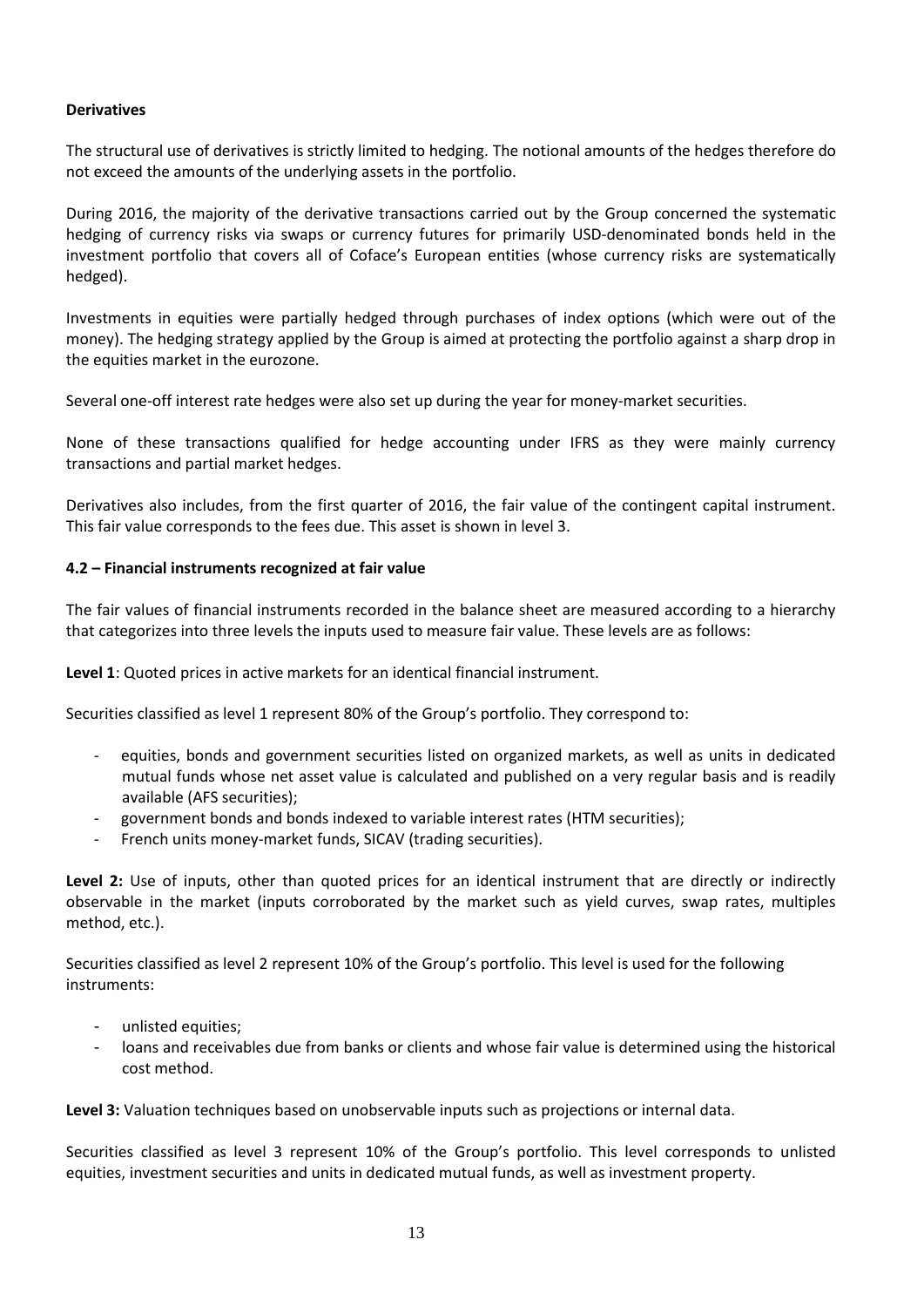#### **Derivatives**

The structural use of derivatives is strictly limited to hedging. The notional amounts of the hedges therefore do not exceed the amounts of the underlying assets in the portfolio.

During 2016, the majority of the derivative transactions carried out by the Group concerned the systematic hedging of currency risks via swaps or currency futures for primarily USD-denominated bonds held in the investment portfolio that covers all of Coface's European entities (whose currency risks are systematically hedged).

Investments in equities were partially hedged through purchases of index options (which were out of the money). The hedging strategy applied by the Group is aimed at protecting the portfolio against a sharp drop in the equities market in the eurozone.

Several one-off interest rate hedges were also set up during the year for money-market securities.

None of these transactions qualified for hedge accounting under IFRS as they were mainly currency transactions and partial market hedges.

Derivatives also includes, from the first quarter of 2016, the fair value of the contingent capital instrument. This fair value corresponds to the fees due. This asset is shown in level 3.

#### **4.2 – Financial instruments recognized at fair value**

The fair values of financial instruments recorded in the balance sheet are measured according to a hierarchy that categorizes into three levels the inputs used to measure fair value. These levels are as follows:

**Level 1**: Quoted prices in active markets for an identical financial instrument.

Securities classified as level 1 represent 80% of the Group's portfolio. They correspond to:

- equities, bonds and government securities listed on organized markets, as well as units in dedicated mutual funds whose net asset value is calculated and published on a very regular basis and is readily available (AFS securities);
- government bonds and bonds indexed to variable interest rates (HTM securities);
- French units money-market funds, SICAV (trading securities).

**Level 2:** Use of inputs, other than quoted prices for an identical instrument that are directly or indirectly observable in the market (inputs corroborated by the market such as yield curves, swap rates, multiples method, etc.).

Securities classified as level 2 represent 10% of the Group's portfolio. This level is used for the following instruments:

- unlisted equities;
- loans and receivables due from banks or clients and whose fair value is determined using the historical cost method.

**Level 3:** Valuation techniques based on unobservable inputs such as projections or internal data.

Securities classified as level 3 represent 10% of the Group's portfolio. This level corresponds to unlisted equities, investment securities and units in dedicated mutual funds, as well as investment property.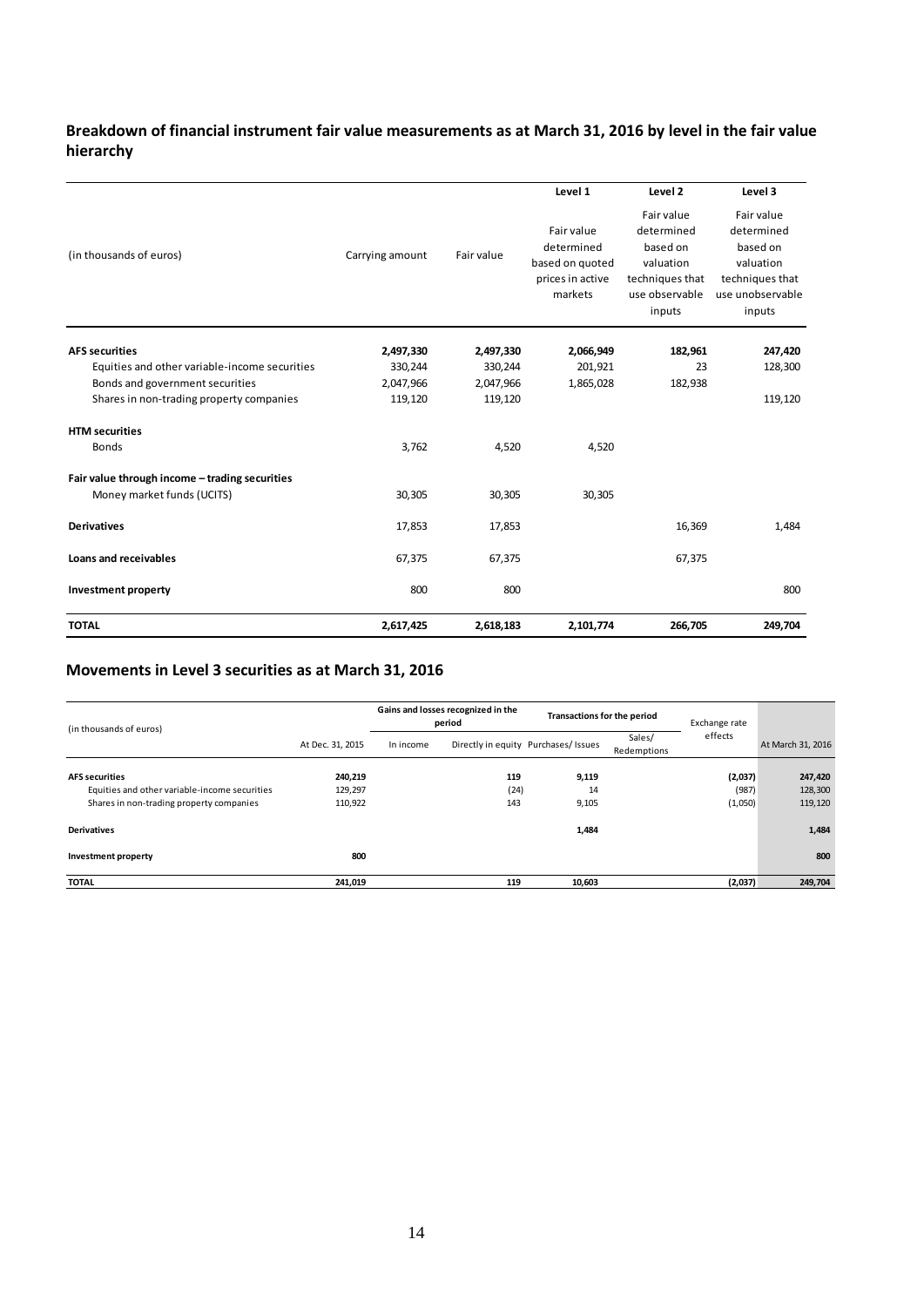#### **Breakdown of financial instrument fair value measurements as at March 31, 2016 by level in the fair value hierarchy**

|                                                |                 |            | Level 1                                                                    | Level 2                                                                                          | Level 3                                                                                            |
|------------------------------------------------|-----------------|------------|----------------------------------------------------------------------------|--------------------------------------------------------------------------------------------------|----------------------------------------------------------------------------------------------------|
| (in thousands of euros)                        | Carrying amount | Fair value | Fair value<br>determined<br>based on quoted<br>prices in active<br>markets | Fair value<br>determined<br>based on<br>valuation<br>techniques that<br>use observable<br>inputs | Fair value<br>determined<br>based on<br>valuation<br>techniques that<br>use unobservable<br>inputs |
| <b>AFS</b> securities                          | 2,497,330       | 2,497,330  | 2,066,949                                                                  | 182,961                                                                                          | 247,420                                                                                            |
| Equities and other variable-income securities  | 330,244         | 330,244    | 201,921                                                                    | 23                                                                                               | 128,300                                                                                            |
| Bonds and government securities                | 2,047,966       | 2,047,966  | 1,865,028                                                                  | 182,938                                                                                          |                                                                                                    |
| Shares in non-trading property companies       | 119,120         | 119,120    |                                                                            |                                                                                                  | 119,120                                                                                            |
| <b>HTM</b> securities                          |                 |            |                                                                            |                                                                                                  |                                                                                                    |
| <b>Bonds</b>                                   | 3,762           | 4,520      | 4,520                                                                      |                                                                                                  |                                                                                                    |
| Fair value through income - trading securities |                 |            |                                                                            |                                                                                                  |                                                                                                    |
| Money market funds (UCITS)                     | 30,305          | 30,305     | 30,305                                                                     |                                                                                                  |                                                                                                    |
| <b>Derivatives</b>                             | 17,853          | 17,853     |                                                                            | 16,369                                                                                           | 1,484                                                                                              |
| <b>Loans and receivables</b>                   | 67,375          | 67,375     |                                                                            | 67,375                                                                                           |                                                                                                    |
| Investment property                            | 800             | 800        |                                                                            |                                                                                                  | 800                                                                                                |
| <b>TOTAL</b>                                   | 2,617,425       | 2,618,183  | 2,101,774                                                                  | 266,705                                                                                          | 249,704                                                                                            |

#### **Movements in Level 3 securities as at March 31, 2016**

| (in thousands of euros)                       |                  | Gains and losses recognized in the<br>period |      | Transactions for the period                                   |  | Exchange rate |                   |
|-----------------------------------------------|------------------|----------------------------------------------|------|---------------------------------------------------------------|--|---------------|-------------------|
|                                               | At Dec. 31, 2015 | In income                                    |      | Sales/<br>Directly in equity Purchases/ Issues<br>Redemptions |  | effects       | At March 31, 2016 |
| <b>AFS</b> securities                         | 240,219          |                                              | 119  | 9,119                                                         |  | (2,037)       | 247,420           |
| Equities and other variable-income securities | 129,297          |                                              | (24) | 14                                                            |  | (987)         | 128,300           |
| Shares in non-trading property companies      | 110,922          |                                              | 143  | 9,105                                                         |  | (1,050)       | 119,120           |
| <b>Derivatives</b>                            |                  |                                              |      | 1,484                                                         |  |               | 1,484             |
| Investment property                           | 800              |                                              |      |                                                               |  |               | 800               |
| <b>TOTAL</b>                                  | 241,019          |                                              | 119  | 10,603                                                        |  | (2,037)       | 249,704           |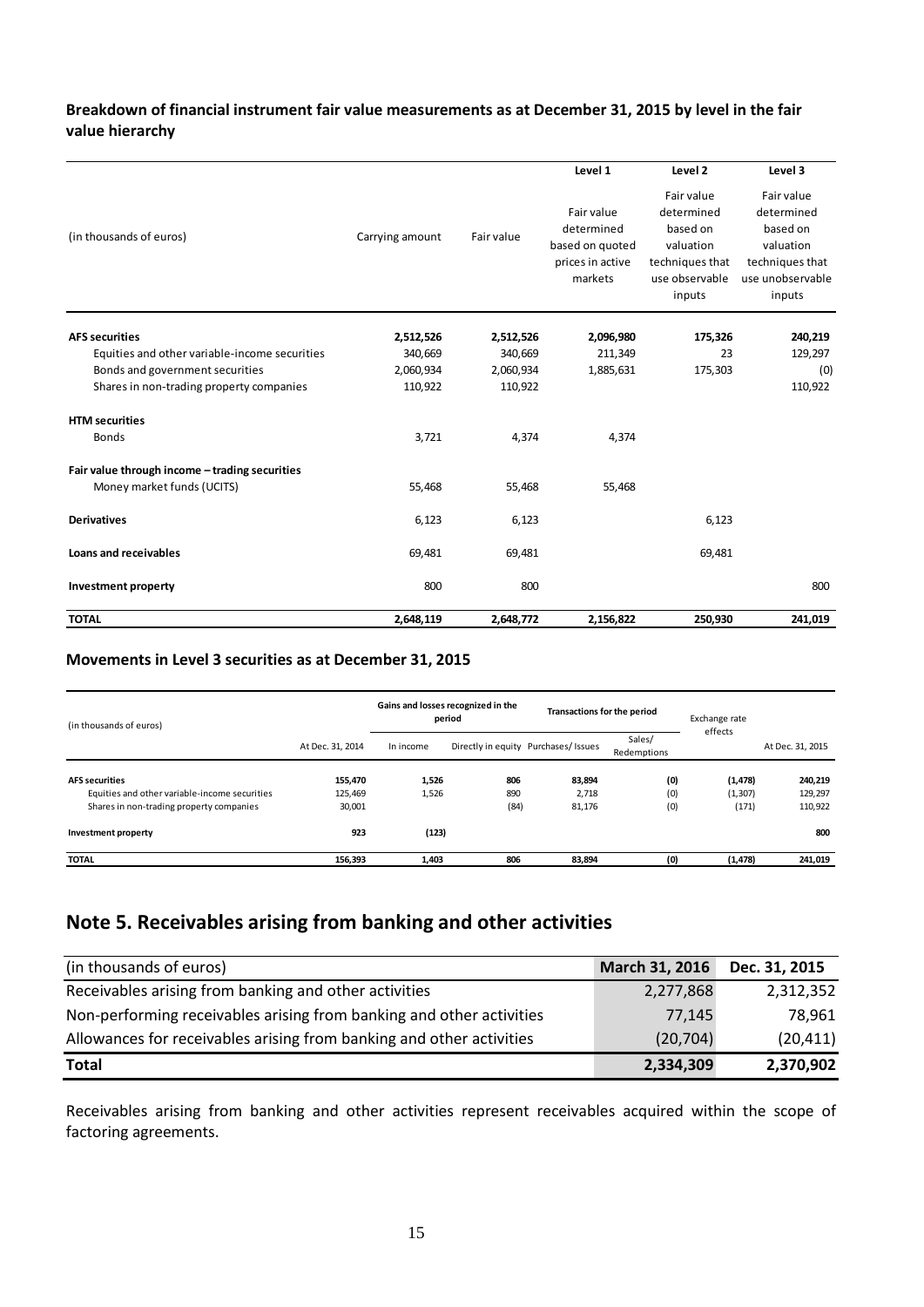#### **Breakdown of financial instrument fair value measurements as at December 31, 2015 by level in the fair value hierarchy**

|                                                |                 |            | Level 1                                                                    | Level 2                                                                                          | Level 3                                                                                            |
|------------------------------------------------|-----------------|------------|----------------------------------------------------------------------------|--------------------------------------------------------------------------------------------------|----------------------------------------------------------------------------------------------------|
| (in thousands of euros)                        | Carrying amount | Fair value | Fair value<br>determined<br>based on quoted<br>prices in active<br>markets | Fair value<br>determined<br>based on<br>valuation<br>techniques that<br>use observable<br>inputs | Fair value<br>determined<br>based on<br>valuation<br>techniques that<br>use unobservable<br>inputs |
| <b>AFS securities</b>                          | 2,512,526       | 2,512,526  | 2,096,980                                                                  | 175,326                                                                                          | 240,219                                                                                            |
| Equities and other variable-income securities  | 340,669         | 340,669    | 211,349                                                                    | 23                                                                                               | 129,297                                                                                            |
| Bonds and government securities                | 2,060,934       | 2,060,934  | 1,885,631                                                                  | 175,303                                                                                          | (0)                                                                                                |
| Shares in non-trading property companies       | 110,922         | 110,922    |                                                                            |                                                                                                  | 110,922                                                                                            |
| <b>HTM</b> securities                          |                 |            |                                                                            |                                                                                                  |                                                                                                    |
| <b>Bonds</b>                                   | 3,721           | 4,374      | 4,374                                                                      |                                                                                                  |                                                                                                    |
| Fair value through income - trading securities |                 |            |                                                                            |                                                                                                  |                                                                                                    |
| Money market funds (UCITS)                     | 55,468          | 55,468     | 55,468                                                                     |                                                                                                  |                                                                                                    |
| <b>Derivatives</b>                             | 6,123           | 6,123      |                                                                            | 6,123                                                                                            |                                                                                                    |
| Loans and receivables                          | 69,481          | 69,481     |                                                                            | 69,481                                                                                           |                                                                                                    |
| Investment property                            | 800             | 800        |                                                                            |                                                                                                  | 800                                                                                                |
| <b>TOTAL</b>                                   | 2,648,119       | 2,648,772  | 2,156,822                                                                  | 250,930                                                                                          | 241,019                                                                                            |

#### **Movements in Level 3 securities as at December 31, 2015**

| (in thousands of euros)                       | Gains and losses recognized in the<br><b>Transactions for the period</b><br>period |           |      | Exchange rate                        |                       |          |                  |
|-----------------------------------------------|------------------------------------------------------------------------------------|-----------|------|--------------------------------------|-----------------------|----------|------------------|
|                                               | At Dec. 31, 2014                                                                   | In income |      | Directly in equity Purchases/ Issues | Sales/<br>Redemptions | effects  | At Dec. 31, 2015 |
| <b>AFS</b> securities                         | 155,470                                                                            | 1,526     | 806  | 83,894                               | (0)                   | (1, 478) | 240,219          |
| Equities and other variable-income securities | 125.469                                                                            | 1,526     | 890  | 2.718                                | (0)                   | (1, 307) | 129,297          |
| Shares in non-trading property companies      | 30,001                                                                             |           | (84) | 81,176                               | (0)                   | (171)    | 110,922          |
| Investment property                           | 923                                                                                | (123)     |      |                                      |                       |          | 800              |
| <b>TOTAL</b>                                  | 156,393                                                                            | 1,403     | 806  | 83,894                               | (0)                   | (1, 478) | 241,019          |

## <span id="page-14-0"></span>**Note 5. Receivables arising from banking and other activities**

| (in thousands of euros)                                              | March 31, 2016 | Dec. 31, 2015 |
|----------------------------------------------------------------------|----------------|---------------|
| Receivables arising from banking and other activities                | 2,277,868      | 2,312,352     |
| Non-performing receivables arising from banking and other activities | 77,145         | 78.961        |
| Allowances for receivables arising from banking and other activities | (20, 704)      | (20, 411)     |
| <b>Total</b>                                                         | 2,334,309      | 2,370,902     |

Receivables arising from banking and other activities represent receivables acquired within the scope of factoring agreements.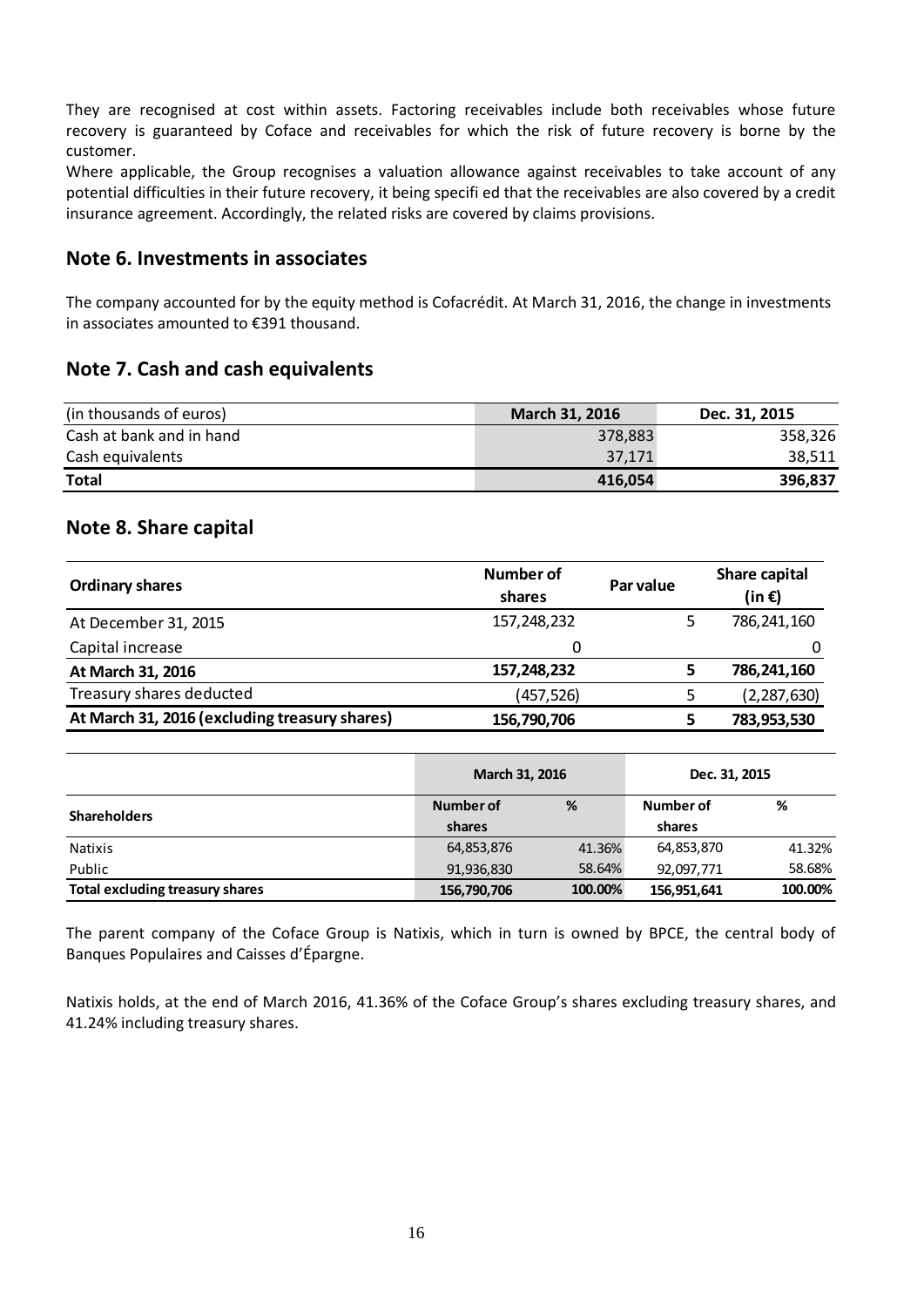They are recognised at cost within assets. Factoring receivables include both receivables whose future recovery is guaranteed by Coface and receivables for which the risk of future recovery is borne by the customer.

Where applicable, the Group recognises a valuation allowance against receivables to take account of any potential difficulties in their future recovery, it being specifi ed that the receivables are also covered by a credit insurance agreement. Accordingly, the related risks are covered by claims provisions.

#### <span id="page-15-0"></span>**Note 6. Investments in associates**

The company accounted for by the equity method is Cofacrédit. At March 31, 2016, the change in investments in associates amounted to €391 thousand.

#### <span id="page-15-1"></span>**Note 7. Cash and cash equivalents**

| (in thousands of euros)  | <b>March 31, 2016</b> | Dec. 31, 2015 |
|--------------------------|-----------------------|---------------|
| Cash at bank and in hand | 378,883               | 358,326       |
| Cash equivalents         | 37.171                | 38,511        |
| <b>Total</b>             | 416,054               | 396,837       |

#### <span id="page-15-2"></span>**Note 8. Share capital**

| <b>Ordinary shares</b>                        | Number of<br>shares | Par value | Share capital<br>(in $\epsilon$ ) |
|-----------------------------------------------|---------------------|-----------|-----------------------------------|
| At December 31, 2015                          | 157,248,232         |           | 786,241,160                       |
| Capital increase                              | 0                   |           |                                   |
| At March 31, 2016                             | 157,248,232         |           | 786,241,160                       |
| Treasury shares deducted                      | (457,526)           |           | (2, 287, 630)                     |
| At March 31, 2016 (excluding treasury shares) | 156,790,706         |           | 783,953,530                       |

|                                 | March 31, 2016 |         | Dec. 31, 2015 |         |
|---------------------------------|----------------|---------|---------------|---------|
| <b>Shareholders</b>             | Number of      | %       | Number of     | %       |
|                                 | shares         |         | shares        |         |
| Natixis                         | 64,853,876     | 41.36%  | 64,853,870    | 41.32%  |
| Public                          | 91,936,830     | 58.64%  | 92,097,771    | 58.68%  |
| Total excluding treasury shares | 156,790,706    | 100.00% | 156,951,641   | 100.00% |

The parent company of the Coface Group is Natixis, which in turn is owned by BPCE, the central body of Banques Populaires and Caisses d'Épargne.

Natixis holds, at the end of March 2016, 41.36% of the Coface Group's shares excluding treasury shares, and 41.24% including treasury shares.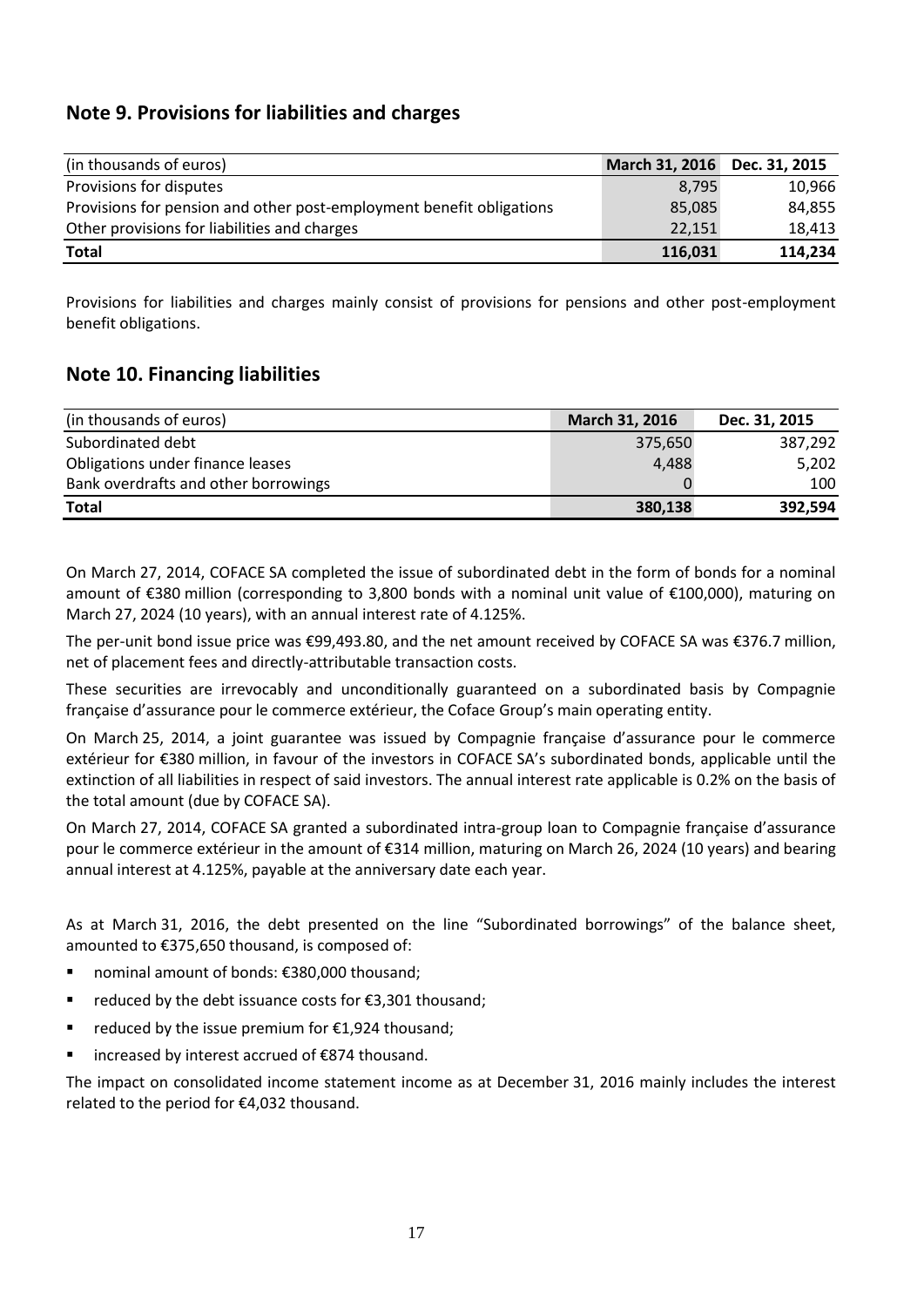### <span id="page-16-0"></span>**Note 9. Provisions for liabilities and charges**

| (in thousands of euros)                                              | March 31, 2016 Dec. 31, 2015 |         |
|----------------------------------------------------------------------|------------------------------|---------|
| Provisions for disputes                                              | 8.795                        | 10,966  |
| Provisions for pension and other post-employment benefit obligations | 85,085                       | 84.855  |
| Other provisions for liabilities and charges                         | 22,151                       | 18.413  |
| <b>Total</b>                                                         | 116,031                      | 114,234 |

Provisions for liabilities and charges mainly consist of provisions for pensions and other post-employment benefit obligations.

#### <span id="page-16-1"></span>**Note 10. Financing liabilities**

| (in thousands of euros)              | March 31, 2016 | Dec. 31, 2015 |
|--------------------------------------|----------------|---------------|
| Subordinated debt                    | 375,650        | 387,292       |
| Obligations under finance leases     | 4,488          | 5,202         |
| Bank overdrafts and other borrowings |                | 100           |
| <b>Total</b>                         | 380,138        | 392,594       |

On March 27, 2014, COFACE SA completed the issue of subordinated debt in the form of bonds for a nominal amount of €380 million (corresponding to 3,800 bonds with a nominal unit value of €100,000), maturing on March 27, 2024 (10 years), with an annual interest rate of 4.125%.

The per-unit bond issue price was €99,493.80, and the net amount received by COFACE SA was €376.7 million, net of placement fees and directly-attributable transaction costs.

These securities are irrevocably and unconditionally guaranteed on a subordinated basis by Compagnie française d'assurance pour le commerce extérieur, the Coface Group's main operating entity.

On March 25, 2014, a joint guarantee was issued by Compagnie française d'assurance pour le commerce extérieur for €380 million, in favour of the investors in COFACE SA's subordinated bonds, applicable until the extinction of all liabilities in respect of said investors. The annual interest rate applicable is 0.2% on the basis of the total amount (due by COFACE SA).

On March 27, 2014, COFACE SA granted a subordinated intra-group loan to Compagnie française d'assurance pour le commerce extérieur in the amount of €314 million, maturing on March 26, 2024 (10 years) and bearing annual interest at 4.125%, payable at the anniversary date each year.

As at March 31, 2016, the debt presented on the line "Subordinated borrowings" of the balance sheet, amounted to €375,650 thousand, is composed of:

- nominal amount of bonds: €380,000 thousand;
- reduced by the debt issuance costs for €3.301 thousand:
- reduced by the issue premium for  $£1,924$  thousand;
- increased by interest accrued of €874 thousand.

The impact on consolidated income statement income as at December 31, 2016 mainly includes the interest related to the period for €4,032 thousand.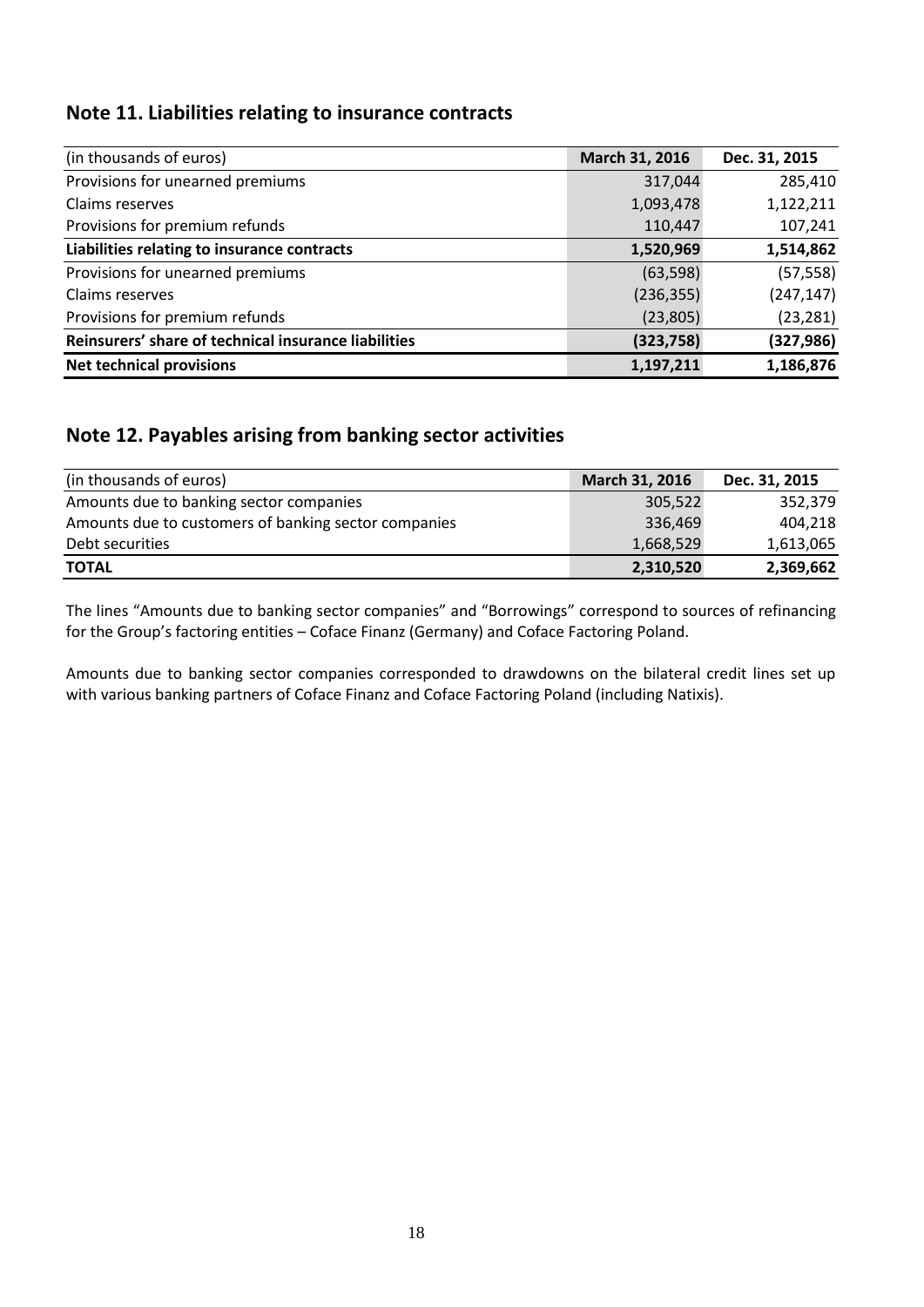### <span id="page-17-0"></span>**Note 11. Liabilities relating to insurance contracts**

| (in thousands of euros)                              | March 31, 2016 | Dec. 31, 2015 |
|------------------------------------------------------|----------------|---------------|
| Provisions for unearned premiums                     | 317,044        | 285,410       |
| Claims reserves                                      | 1,093,478      | 1,122,211     |
| Provisions for premium refunds                       | 110,447        | 107,241       |
| Liabilities relating to insurance contracts          | 1,520,969      | 1,514,862     |
| Provisions for unearned premiums                     | (63, 598)      | (57, 558)     |
| Claims reserves                                      | (236, 355)     | (247, 147)    |
| Provisions for premium refunds                       | (23, 805)      | (23, 281)     |
| Reinsurers' share of technical insurance liabilities | (323, 758)     | (327, 986)    |
| <b>Net technical provisions</b>                      | 1,197,211      | 1,186,876     |

### <span id="page-17-1"></span>**Note 12. Payables arising from banking sector activities**

| (in thousands of euros)                              | March 31, 2016 | Dec. 31, 2015 |
|------------------------------------------------------|----------------|---------------|
| Amounts due to banking sector companies              | 305,522        | 352,379       |
| Amounts due to customers of banking sector companies | 336,469        | 404.218       |
| Debt securities                                      | 1,668,529      | 1,613,065     |
| <b>TOTAL</b>                                         | 2,310,520      | 2,369,662     |

The lines "Amounts due to banking sector companies" and "Borrowings" correspond to sources of refinancing for the Group's factoring entities – Coface Finanz (Germany) and Coface Factoring Poland.

Amounts due to banking sector companies corresponded to drawdowns on the bilateral credit lines set up with various banking partners of Coface Finanz and Coface Factoring Poland (including Natixis).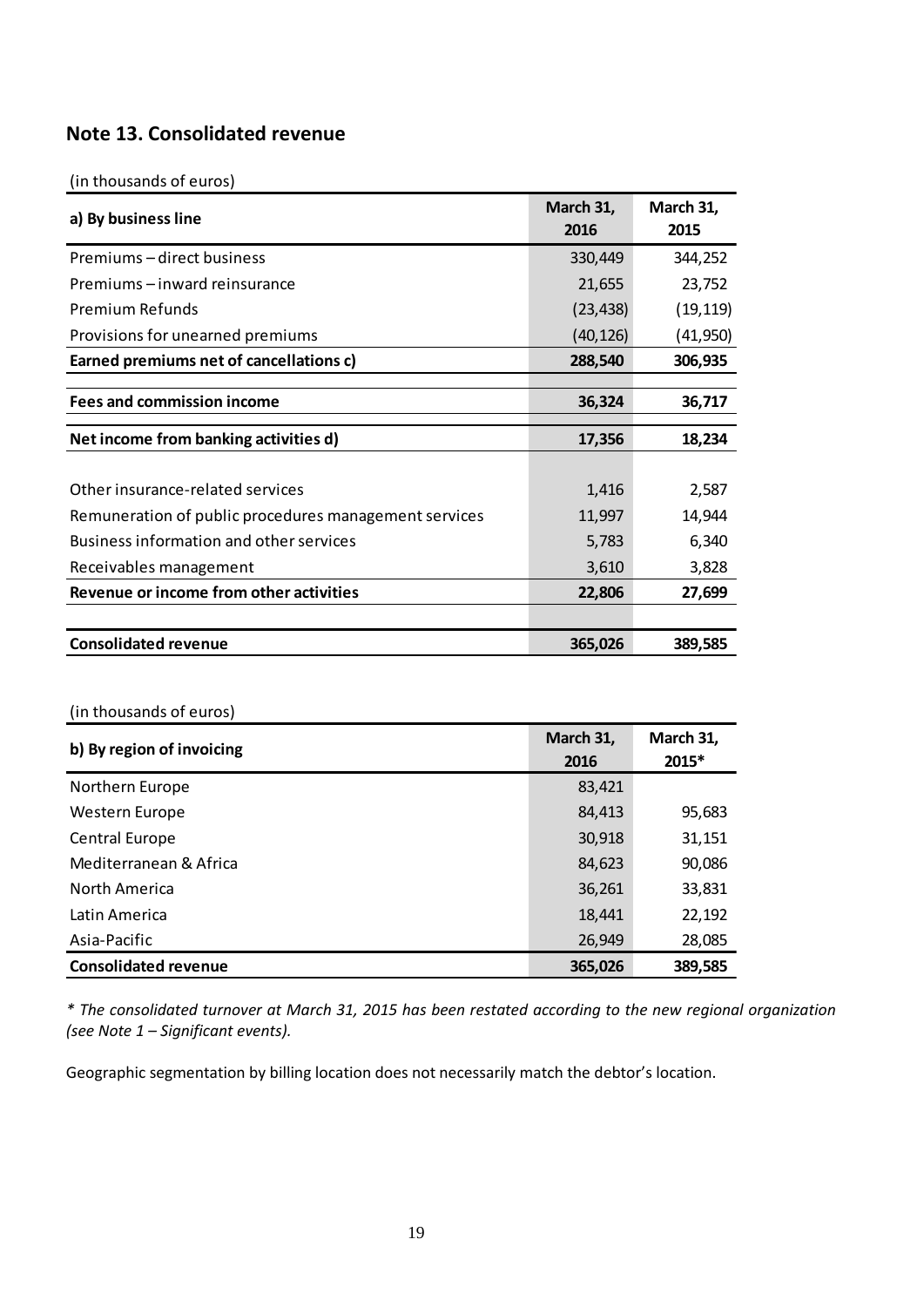### <span id="page-18-0"></span>**Note 13. Consolidated revenue**

#### (in thousands of euros)

| a) By business line                                   | March 31,<br>2016 | March 31,<br>2015 |
|-------------------------------------------------------|-------------------|-------------------|
| Premiums – direct business                            | 330,449           | 344,252           |
| Premiums – inward reinsurance                         | 21,655            | 23,752            |
| <b>Premium Refunds</b>                                | (23, 438)         | (19, 119)         |
| Provisions for unearned premiums                      | (40, 126)         | (41, 950)         |
| Earned premiums net of cancellations c)               | 288,540           | 306,935           |
|                                                       |                   |                   |
| <b>Fees and commission income</b>                     | 36,324            | 36,717            |
| Net income from banking activities d)                 | 17,356            | 18,234            |
|                                                       |                   |                   |
| Other insurance-related services                      | 1,416             | 2,587             |
| Remuneration of public procedures management services | 11,997            | 14,944            |
| Business information and other services               | 5,783             | 6,340             |
| Receivables management                                | 3,610             | 3,828             |
| Revenue or income from other activities               | 22,806            | 27,699            |
|                                                       |                   |                   |
| <b>Consolidated revenue</b>                           | 365,026           | 389,585           |

#### (in thousands of euros)

| b) By region of invoicing   | March 31,<br>2016 | March 31,<br>2015* |
|-----------------------------|-------------------|--------------------|
| Northern Europe             | 83,421            |                    |
| Western Europe              | 84,413            | 95,683             |
| <b>Central Europe</b>       | 30,918            | 31,151             |
| Mediterranean & Africa      | 84,623            | 90,086             |
| North America               | 36,261            | 33,831             |
| Latin America               | 18,441            | 22,192             |
| Asia-Pacific                | 26,949            | 28,085             |
| <b>Consolidated revenue</b> | 365,026           | 389,585            |

*\* The consolidated turnover at March 31, 2015 has been restated according to the new regional organization (see Note 1 – Significant events).*

Geographic segmentation by billing location does not necessarily match the debtor's location.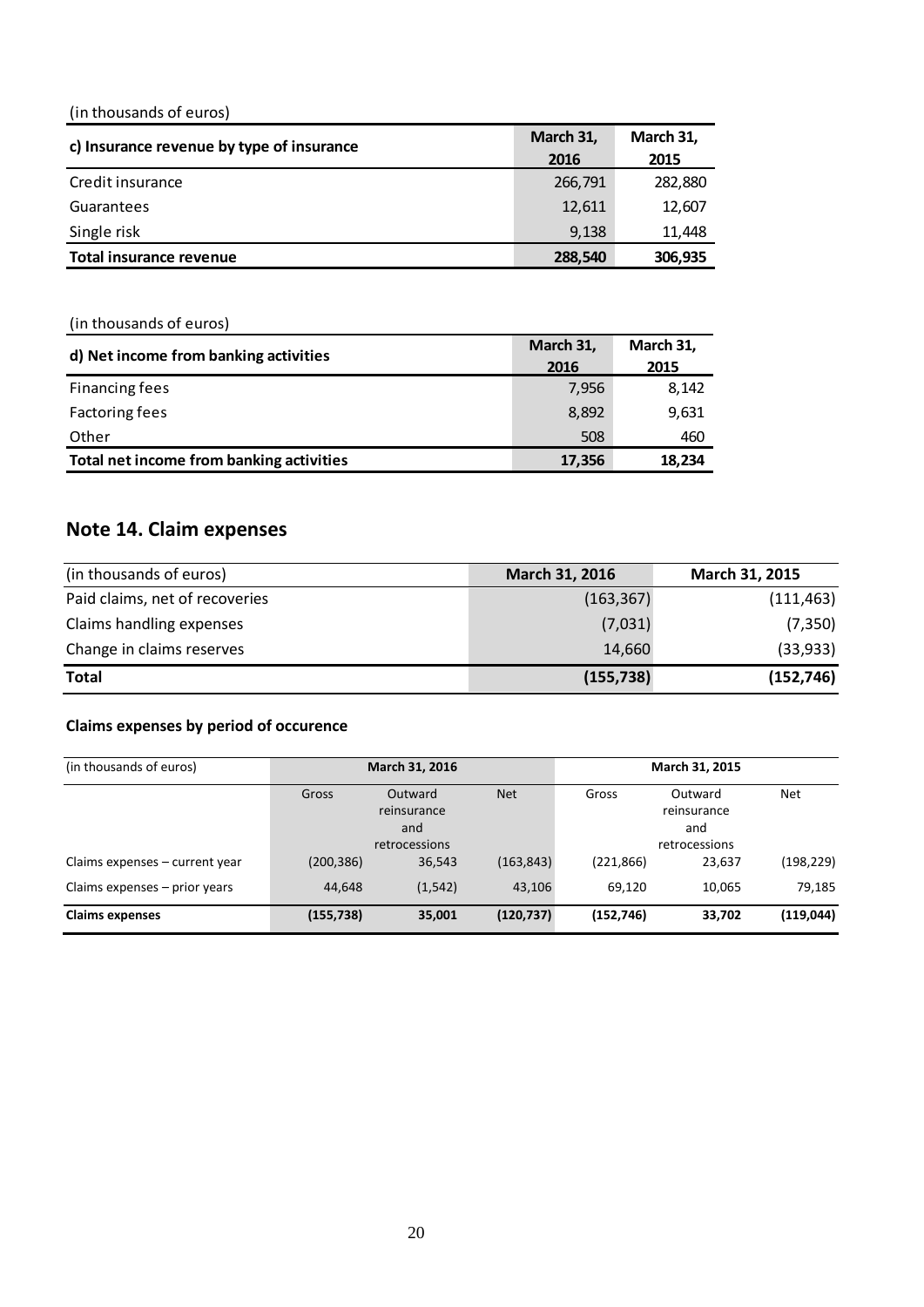(in thousands of euros)

| c) Insurance revenue by type of insurance | March 31, | March 31, |  |  |
|-------------------------------------------|-----------|-----------|--|--|
|                                           | 2016      | 2015      |  |  |
| Credit insurance                          | 266,791   | 282,880   |  |  |
| Guarantees                                | 12,611    | 12,607    |  |  |
| Single risk                               | 9,138     | 11.448    |  |  |
| Total insurance revenue                   | 288,540   | 306,935   |  |  |

(in thousands of euros)

| d) Net income from banking activities    | March 31, | March 31, |  |  |
|------------------------------------------|-----------|-----------|--|--|
|                                          | 2016      | 2015      |  |  |
| Financing fees                           | 7,956     | 8,142     |  |  |
| <b>Factoring fees</b>                    | 8,892     | 9,631     |  |  |
| Other                                    | 508       | 460       |  |  |
| Total net income from banking activities | 17,356    | 18.234    |  |  |

# <span id="page-19-0"></span>**Note 14. Claim expenses**

| (in thousands of euros)        | March 31, 2016 | March 31, 2015 |
|--------------------------------|----------------|----------------|
| Paid claims, net of recoveries | (163, 367)     | (111, 463)     |
| Claims handling expenses       | (7,031)        | (7, 350)       |
| Change in claims reserves      | 14,660         | (33, 933)      |
| <b>Total</b>                   | (155, 738)     | (152, 746)     |

#### **Claims expenses by period of occurence**

| (in thousands of euros)         |                                                                       | March 31, 2016 |            | March 31, 2015 |        |            |                                                |            |
|---------------------------------|-----------------------------------------------------------------------|----------------|------------|----------------|--------|------------|------------------------------------------------|------------|
|                                 | <b>Net</b><br>Gross<br>Outward<br>reinsurance<br>and<br>retrocessions |                |            |                |        | Gross      | Outward<br>reinsurance<br>and<br>retrocessions | <b>Net</b> |
| Claims expenses – current year  | (200, 386)                                                            | 36,543         | (163, 843) | (221, 866)     | 23,637 | (198, 229) |                                                |            |
| Claims expenses $-$ prior years | 44.648                                                                | (1, 542)       | 43.106     | 69.120         | 10.065 | 79,185     |                                                |            |
| <b>Claims expenses</b>          | (155, 738)                                                            | 35,001         | (120, 737) | (152, 746)     | 33,702 | (119, 044) |                                                |            |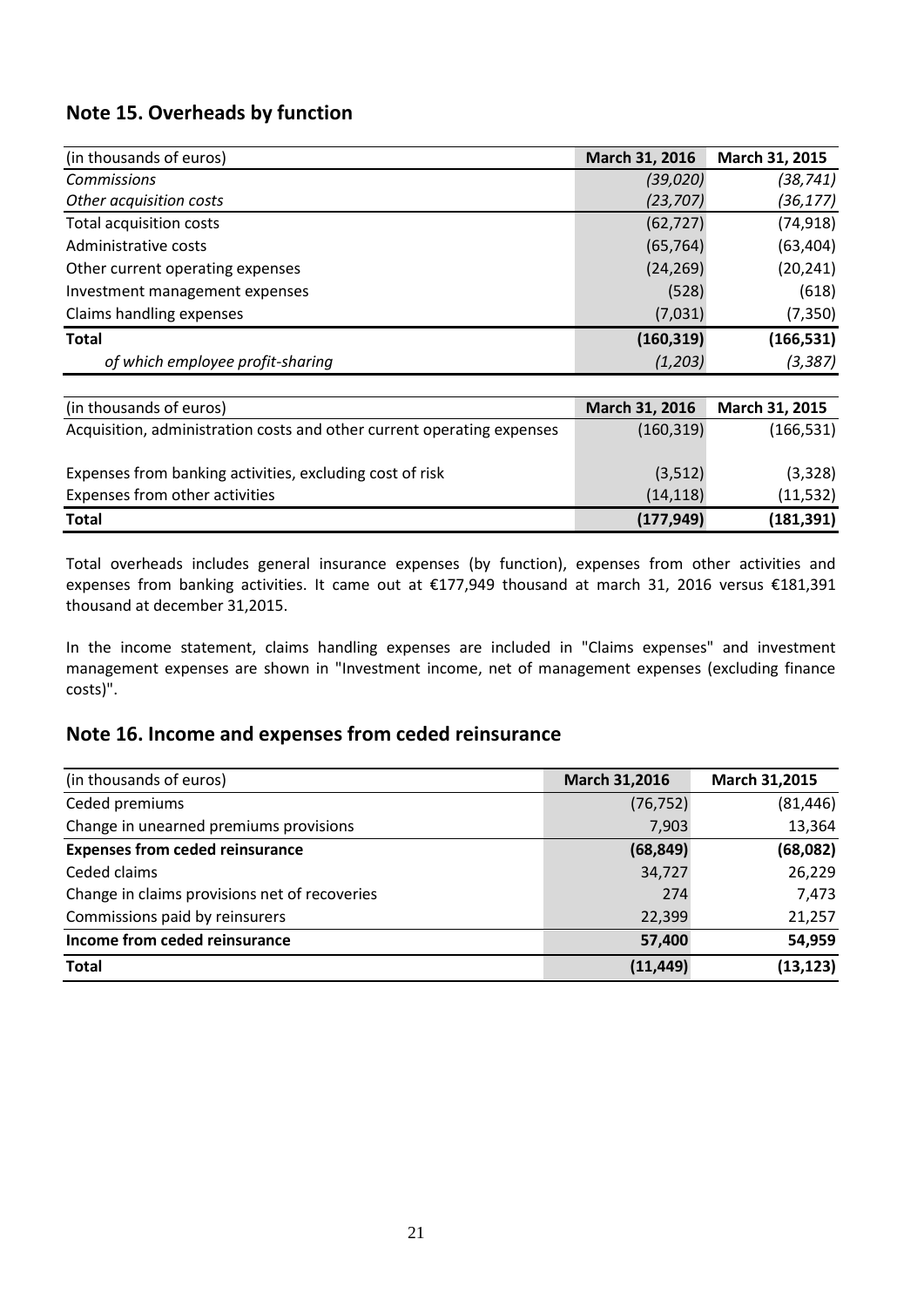### <span id="page-20-0"></span>**Note 15. Overheads by function**

| (in thousands of euros)          | March 31, 2016 | March 31, 2015 |
|----------------------------------|----------------|----------------|
| <b>Commissions</b>               | (39, 020)      | (38,741)       |
| Other acquisition costs          | (23, 707)      | (36, 177)      |
| Total acquisition costs          | (62, 727)      | (74, 918)      |
| Administrative costs             | (65, 764)      | (63, 404)      |
| Other current operating expenses | (24, 269)      | (20, 241)      |
| Investment management expenses   | (528)          | (618)          |
| Claims handling expenses         | (7,031)        | (7, 350)       |
| <b>Total</b>                     | (160, 319)     | (166, 531)     |
| of which employee profit-sharing | (1,203)        | (3, 387)       |

| (in thousands of euros)                                                | March 31, 2016 | March 31, 2015 |
|------------------------------------------------------------------------|----------------|----------------|
| Acquisition, administration costs and other current operating expenses | (160, 319)     | (166, 531)     |
| Expenses from banking activities, excluding cost of risk               | (3,512)        | (3, 328)       |
| Expenses from other activities                                         | (14, 118)      | (11, 532)      |
| <b>Total</b>                                                           | (177, 949)     | (181, 391)     |

Total overheads includes general insurance expenses (by function), expenses from other activities and expenses from banking activities. It came out at €177,949 thousand at march 31, 2016 versus €181,391 thousand at december 31,2015.

In the income statement, claims handling expenses are included in "Claims expenses" and investment management expenses are shown in "Investment income, net of management expenses (excluding finance costs)".

### <span id="page-20-1"></span>**Note 16. Income and expenses from ceded reinsurance**

| (in thousands of euros)                       | March 31,2016 | March 31,2015 |
|-----------------------------------------------|---------------|---------------|
| Ceded premiums                                | (76, 752)     | (81, 446)     |
| Change in unearned premiums provisions        | 7,903         | 13,364        |
| <b>Expenses from ceded reinsurance</b>        | (68, 849)     | (68,082)      |
| Ceded claims                                  | 34,727        | 26,229        |
| Change in claims provisions net of recoveries | 274           | 7,473         |
| Commissions paid by reinsurers                | 22,399        | 21,257        |
| Income from ceded reinsurance                 | 57,400        | 54,959        |
| <b>Total</b>                                  | (11, 449)     | (13, 123)     |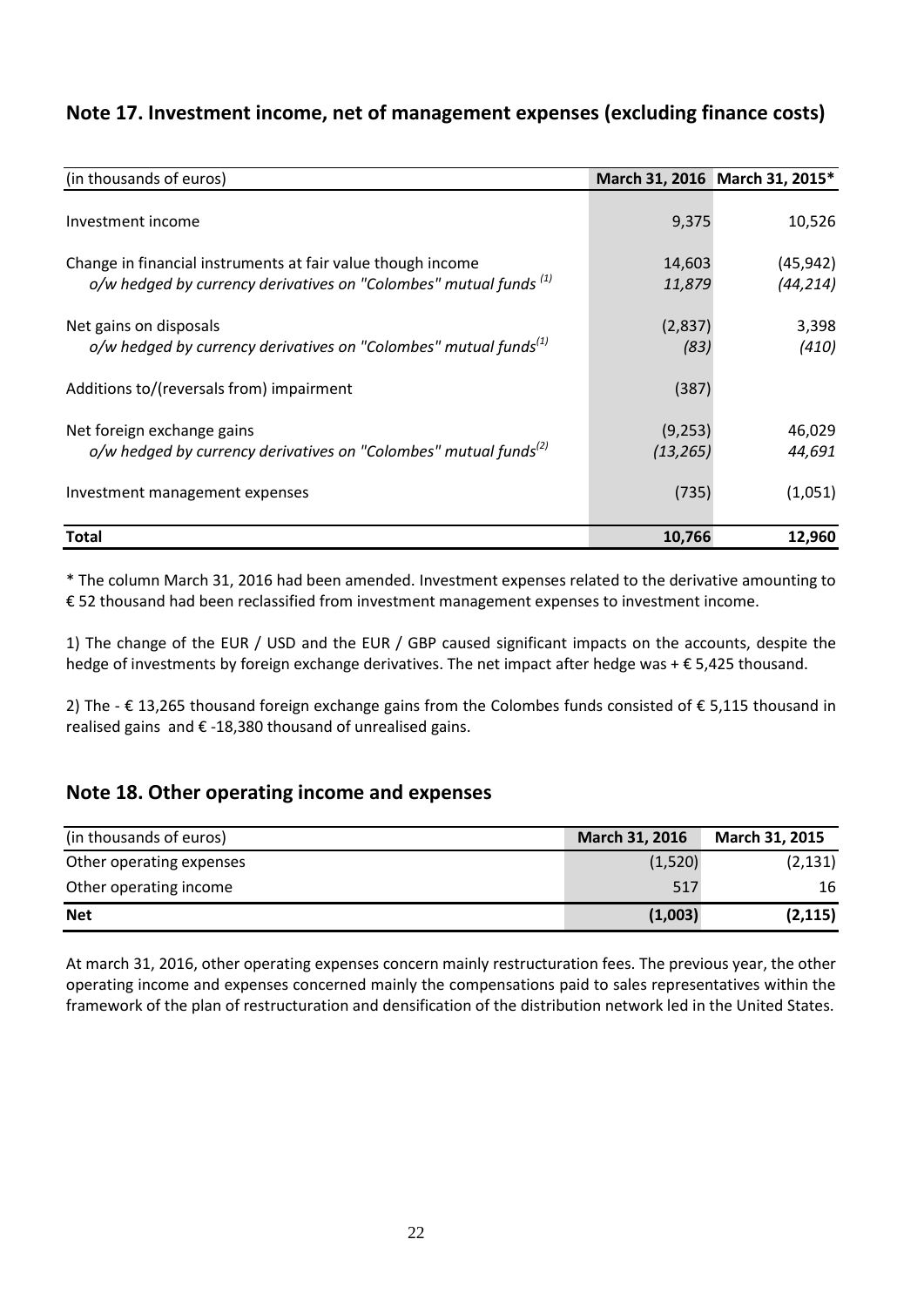### <span id="page-21-0"></span>**Note 17. Investment income, net of management expenses (excluding finance costs)**

| (in thousands of euros)                                                                                                              |                      | March 31, 2016 March 31, 2015* |
|--------------------------------------------------------------------------------------------------------------------------------------|----------------------|--------------------------------|
| Investment income                                                                                                                    | 9,375                | 10,526                         |
| Change in financial instruments at fair value though income<br>$o/w$ hedged by currency derivatives on "Colombes" mutual funds $(1)$ | 14,603<br>11,879     | (45, 942)<br>(44, 214)         |
| Net gains on disposals<br>o/w hedged by currency derivatives on "Colombes" mutual funds <sup>(1)</sup>                               | (2,837)<br>(83)      | 3,398<br>(410)                 |
| Additions to/(reversals from) impairment                                                                                             | (387)                |                                |
| Net foreign exchange gains<br>o/w hedged by currency derivatives on "Colombes" mutual funds <sup>(2)</sup>                           | (9,253)<br>(13, 265) | 46,029<br>44,691               |
| Investment management expenses                                                                                                       | (735)                | (1,051)                        |
| Total                                                                                                                                | 10,766               | 12,960                         |

\* The column March 31, 2016 had been amended. Investment expenses related to the derivative amounting to € 52 thousand had been reclassified from investment management expenses to investment income.

1) The change of the EUR / USD and the EUR / GBP caused significant impacts on the accounts, despite the hedge of investments by foreign exchange derivatives. The net impact after hedge was + € 5,425 thousand.

2) The - € 13,265 thousand foreign exchange gains from the Colombes funds consisted of € 5,115 thousand in realised gains and € -18,380 thousand of unrealised gains.

#### <span id="page-21-1"></span>**Note 18. Other operating income and expenses**

| (in thousands of euros)  | March 31, 2016 | March 31, 2015 |
|--------------------------|----------------|----------------|
| Other operating expenses | (1,520)        | (2, 131)       |
| Other operating income   | 517            | 16             |
| <b>Net</b>               | (1,003)        | (2, 115)       |

At march 31, 2016, other operating expenses concern mainly restructuration fees. The previous year, the other operating income and expenses concerned mainly the compensations paid to sales representatives within the framework of the plan of restructuration and densification of the distribution network led in the United States.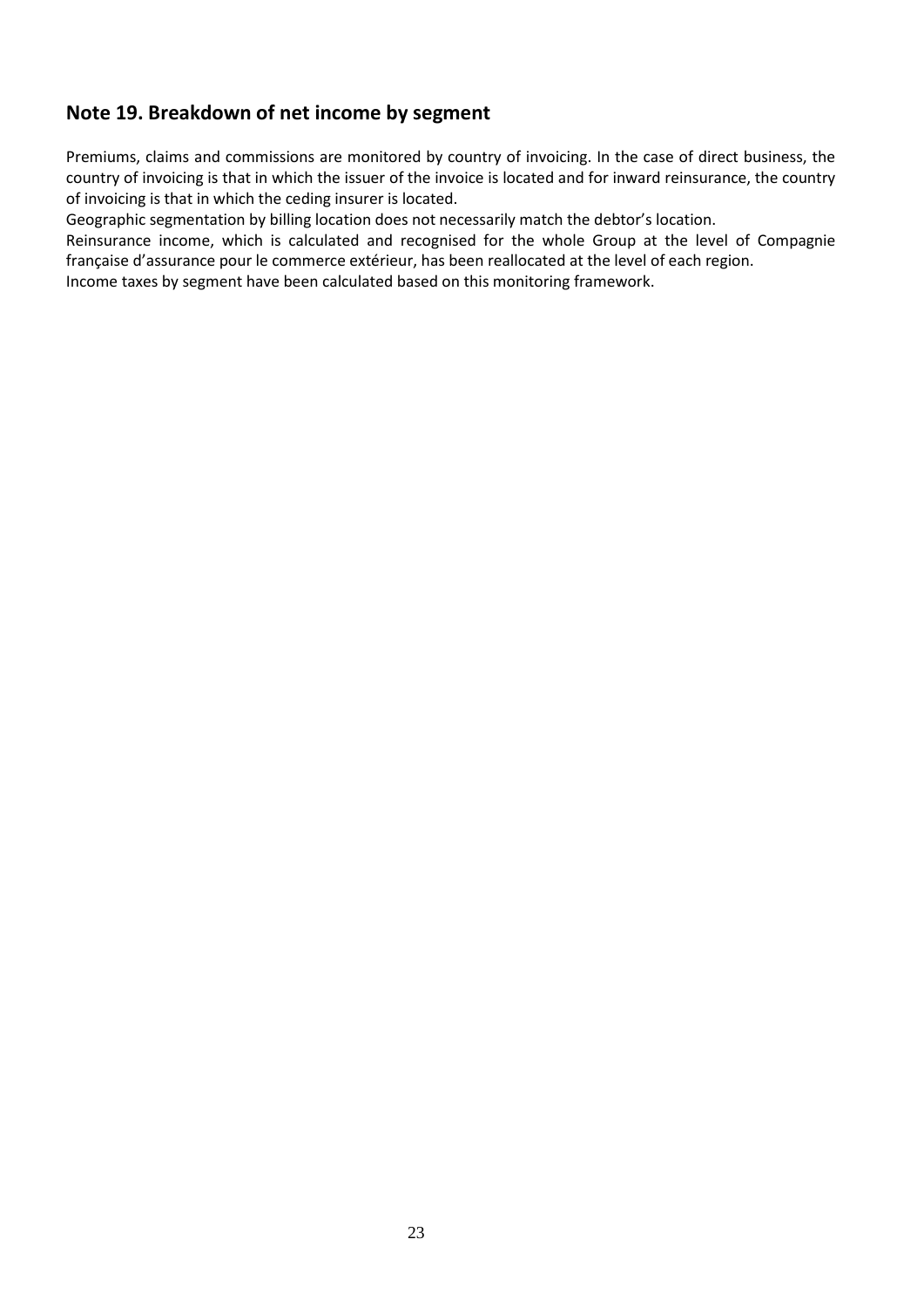### <span id="page-22-0"></span>**Note 19. Breakdown of net income by segment**

Premiums, claims and commissions are monitored by country of invoicing. In the case of direct business, the country of invoicing is that in which the issuer of the invoice is located and for inward reinsurance, the country of invoicing is that in which the ceding insurer is located.

Geographic segmentation by billing location does not necessarily match the debtor's location.

Reinsurance income, which is calculated and recognised for the whole Group at the level of Compagnie française d'assurance pour le commerce extérieur, has been reallocated at the level of each region.

Income taxes by segment have been calculated based on this monitoring framework.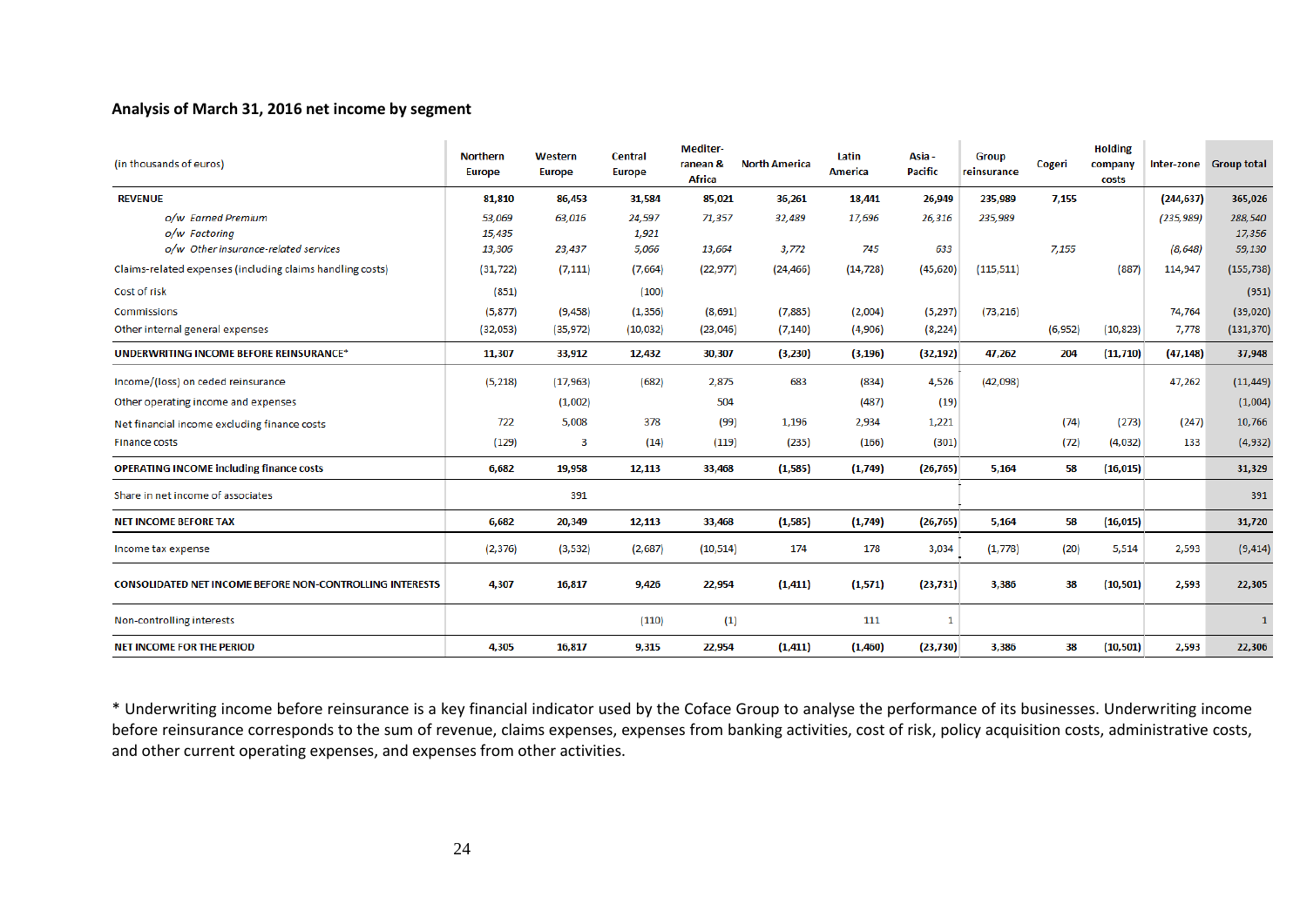#### **Analysis of March 31, 2016 net income by segment**

| (in thousands of euros)                                         | <b>Northern</b><br><b>Europe</b> | Western<br>Europe | <b>Central</b><br><b>Europe</b> | Mediter-<br>ranean &<br><b>Africa</b> | <b>North America</b> | Latin<br>America | Asia -<br><b>Pacific</b> | <b>Group</b><br>reinsurance | Cogeri   | <b>Holding</b><br>company<br>costs |            | Inter-zone Group total |
|-----------------------------------------------------------------|----------------------------------|-------------------|---------------------------------|---------------------------------------|----------------------|------------------|--------------------------|-----------------------------|----------|------------------------------------|------------|------------------------|
| <b>REVENUE</b>                                                  | 81,810                           | 86,453            | 31,584                          | 85,021                                | 36,261               | 18,441           | 26,949                   | 235,989                     | 7,155    |                                    | (244, 637) | 365,026                |
| o/w Earned Premium                                              | 53,069                           | 63,016            | 24,597                          | 71,357                                | 32,489               | 17,696           | 26,316                   | 235,989                     |          |                                    | (235, 989) | 288,540                |
| o/w Factoring                                                   | 15,435                           |                   | 1,921                           |                                       |                      |                  |                          |                             |          |                                    |            | 17,356                 |
| o/w Other insurance-related services                            | 13,306                           | 23,437            | 5,066                           | 13,664                                | 3,772                | 745              | 633                      |                             | 7,155    |                                    | (8, 648)   | 59,130                 |
| Claims-related expenses (including claims handling costs)       | (31, 722)                        | (7, 111)          | (7,664)                         | (22, 977)                             | (24, 466)            | (14, 728)        | (45, 620)                | (115, 511)                  |          | (887)                              | 114,947    | (155, 738)             |
| Cost of risk                                                    | (851)                            |                   | (100)                           |                                       |                      |                  |                          |                             |          |                                    |            | (951)                  |
| Commissions                                                     | (5, 877)                         | (9, 458)          | (1, 356)                        | (8,691)                               | (7,885)              | (2,004)          | (5,297)                  | (73, 216)                   |          |                                    | 74,764     | (39, 020)              |
| Other internal general expenses                                 | (32,053)                         | (35, 972)         | (10,032)                        | (23,046)                              | (7, 140)             | (4,906)          | (8, 224)                 |                             | (6, 952) | (10, 823)                          | 7,778      | (131, 370)             |
| UNDERWRITING INCOME BEFORE REINSURANCE*                         | 11,307                           | 33,912            | 12,432                          | 30,307                                | (3, 230)             | (3, 196)         | (32, 192)                | 47,262                      | 204      | (11, 710)                          | (47, 148)  | 37,948                 |
| Income/(loss) on ceded reinsurance                              | (5,218)                          | (17,963)          | (682)                           | 2.875                                 | 683                  | (834)            | 4,526                    | (42,098)                    |          |                                    | 47,262     | (11, 449)              |
| Other operating income and expenses                             |                                  | (1,002)           |                                 | 504                                   |                      | (487)            | (19)                     |                             |          |                                    |            | (1,004)                |
| Net financial income excluding finance costs                    | 722                              | 5,008             | 378                             | (99)                                  | 1,196                | 2,934            | 1,221                    |                             | (74)     | (273)                              | (247)      | 10,766                 |
| <b>Finance costs</b>                                            | (129)                            | 3                 | (14)                            | (119)                                 | (235)                | (166)            | (301)                    |                             | (72)     | (4,032)                            | 133        | (4,932)                |
| <b>OPERATING INCOME including finance costs</b>                 | 6,682                            | 19,958            | 12,113                          | 33,468                                | (1, 585)             | (1,749)          | (26, 765)                | 5,164                       | 58       | (16, 015)                          |            | 31,329                 |
| Share in net income of associates                               |                                  | 391               |                                 |                                       |                      |                  |                          |                             |          |                                    |            | 391                    |
| <b>NET INCOME BEFORE TAX</b>                                    | 6,682                            | 20,349            | 12,113                          | 33,468                                | (1, 585)             | (1,749)          | (26, 765)                | 5,164                       | 58       | (16, 015)                          |            | 31,720                 |
| Income tax expense                                              | (2, 376)                         | (3, 532)          | (2,687)                         | (10, 514)                             | 174                  | 178              | 3,034                    | (1,778)                     | (20)     | 5,514                              | 2,593      | (9, 414)               |
| <b>CONSOLIDATED NET INCOME BEFORE NON-CONTROLLING INTERESTS</b> | 4,307                            | 16,817            | 9,426                           | 22,954                                | (1, 411)             | (1,571)          | (23, 731)                | 3,386                       | 38       | (10, 501)                          | 2,593      | 22,305                 |
| Non-controlling interests                                       |                                  |                   | (110)                           | (1)                                   |                      | 111              | 1                        |                             |          |                                    |            |                        |
| <b>NET INCOME FOR THE PERIOD</b>                                | 4,305                            | 16,817            | 9,315                           | 22,954                                | (1, 411)             | (1,460)          | (23, 730)                | 3,386                       | 38       | (10, 501)                          | 2,593      | 22,306                 |

\* Underwriting income before reinsurance is a key financial indicator used by the Coface Group to analyse the performance of its businesses. Underwriting income before reinsurance corresponds to the sum of revenue, claims expenses, expenses from banking activities, cost of risk, policy acquisition costs, administrative costs, and other current operating expenses, and expenses from other activities.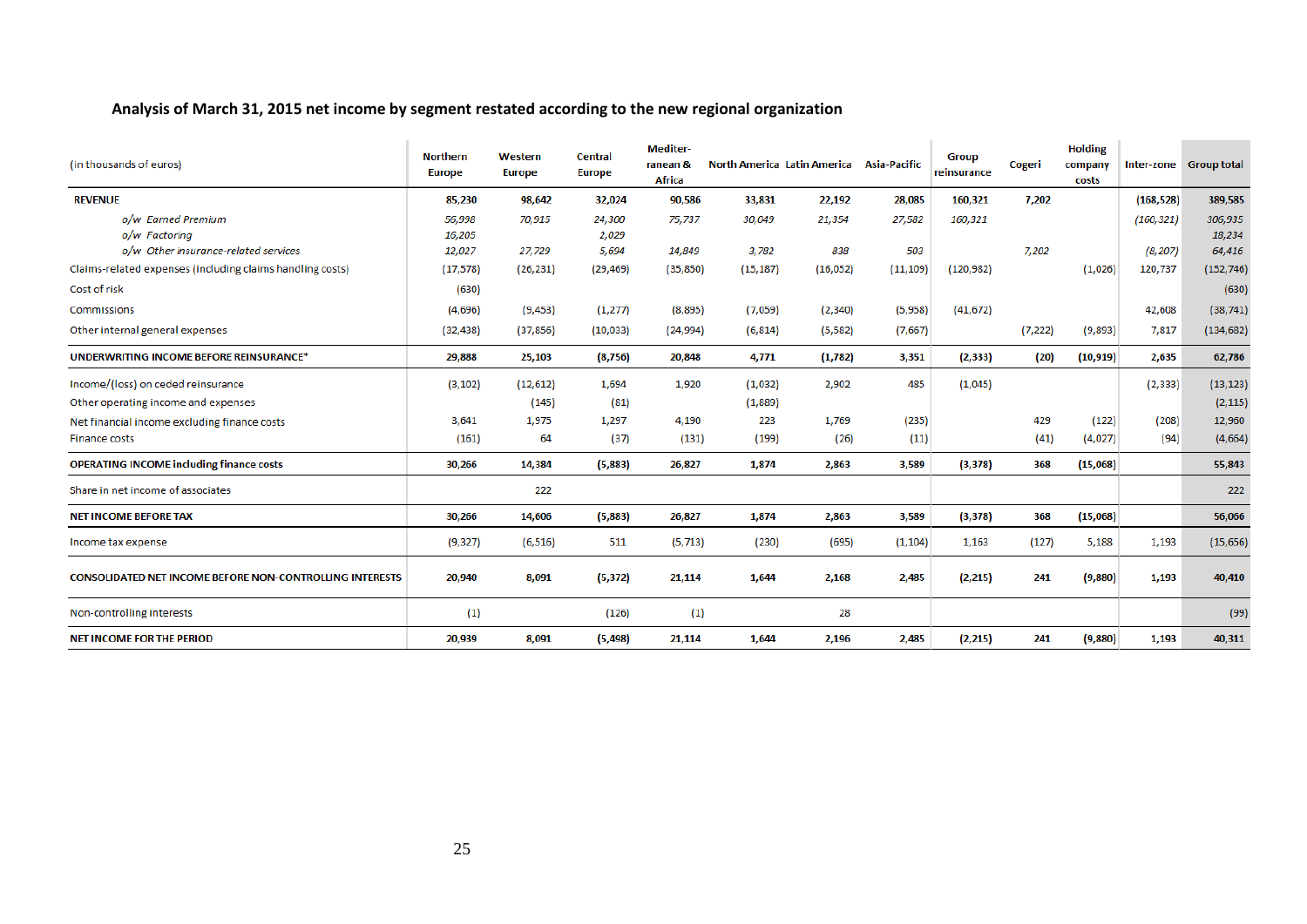#### **Analysis of March 31, 2015 net income by segment restated according to the new regional organization**

| (in thousands of euros)                                         | <b>Northern</b><br><b>Europe</b> | Western<br><b>Europe</b> | Central<br><b>Europe</b> | <b>Mediter-</b><br>ranean &<br><b>Africa</b> |           | North America Latin America Asia-Pacific |           | <b>Group</b><br>reinsurance | Cogeri   | <b>Holding</b><br>company<br>costs |            | Inter-zone Group total |
|-----------------------------------------------------------------|----------------------------------|--------------------------|--------------------------|----------------------------------------------|-----------|------------------------------------------|-----------|-----------------------------|----------|------------------------------------|------------|------------------------|
| <b>REVENUE</b>                                                  | 85,230                           | 98,642                   | 32,024                   | 90,586                                       | 33,831    | 22,192                                   | 28,085    | 160,321                     | 7,202    |                                    | (168, 528) | 389,585                |
| o/w Earned Premium<br>o/w Factoring                             | 56,998<br>16,205                 | 70,915                   | 24,300<br>2,029          | 75,737                                       | 30,049    | 21,354                                   | 27,582    | 160,321                     |          |                                    | (160, 321) | 306,935<br>18,234      |
| o/w Other insurance-related services                            | 12,027                           | 27,729                   | 5,694                    | 14,849                                       | 3,782     | 838                                      | 503       |                             | 7.202    |                                    | (8, 207)   | 64,416                 |
| Claims-related expenses (including claims handling costs)       | (17, 578)                        | (26, 231)                | (29, 469)                | (35, 850)                                    | (15, 187) | (16, 052)                                | (11, 109) | (120, 982)                  |          | (1,026)                            | 120,737    | (152, 746)             |
| Cost of risk                                                    | (630)                            |                          |                          |                                              |           |                                          |           |                             |          |                                    |            | (630)                  |
| <b>Commissions</b>                                              | (4,696)                          | (9, 453)                 | (1, 277)                 | (8,895)                                      | (7,059)   | (2, 340)                                 | (5,958)   | (41, 672)                   |          |                                    | 42,608     | (38, 741)              |
| Other internal general expenses                                 | (32, 438)                        | (37, 856)                | (10, 033)                | (24, 994)                                    | (6, 814)  | (5, 582)                                 | (7,667)   |                             | (7, 222) | (9,893)                            | 7,817      | (134, 682)             |
| UNDERWRITING INCOME BEFORE REINSURANCE*                         | 29,888                           | 25,103                   | (8, 756)                 | 20,848                                       | 4,771     | (1,782)                                  | 3,351     | (2, 333)                    | (20)     | (10, 919)                          | 2,635      | 62,786                 |
| Income/(loss) on ceded reinsurance                              | (3, 102)                         | (12, 612)                | 1,694                    | 1,920                                        | (1,032)   | 2,902                                    | 485       | (1,045)                     |          |                                    | (2, 333)   | (13, 123)              |
| Other operating income and expenses                             |                                  | (145)                    | (81)                     |                                              | (1,889)   |                                          |           |                             |          |                                    |            | (2, 115)               |
| Net financial income excluding finance costs                    | 3.641                            | 1,975                    | 1,297                    | 4,190                                        | 223       | 1,769                                    | (235)     |                             | 429      | (122)                              | (208)      | 12,960                 |
| Finance costs                                                   | (161)                            | 64                       | (37)                     | (131)                                        | (199)     | (26)                                     | (11)      |                             | (41)     | (4,027)                            | (94)       | (4,664)                |
| <b>OPERATING INCOME including finance costs</b>                 | 30,266                           | 14,384                   | (5,883)                  | 26,827                                       | 1,874     | 2,863                                    | 3,589     | (3, 378)                    | 368      | (15,068)                           |            | 55,843                 |
| Share in net income of associates                               |                                  | 222                      |                          |                                              |           |                                          |           |                             |          |                                    |            | 222                    |
| <b>NET INCOME BEFORE TAX</b>                                    | 30,266                           | 14,606                   | (5,883)                  | 26,827                                       | 1,874     | 2,863                                    | 3,589     | (3, 378)                    | 368      | (15,068)                           |            | 56,066                 |
| Income tax expense                                              | (9, 327)                         | (6, 516)                 | 511                      | (5, 713)                                     | (230)     | (695)                                    | (1, 104)  | 1,163                       | (127)    | 5,188                              | 1,193      | (15, 656)              |
| <b>CONSOLIDATED NET INCOME BEFORE NON-CONTROLLING INTERESTS</b> | 20,940                           | 8,091                    | (5, 372)                 | 21,114                                       | 1,644     | 2,168                                    | 2,485     | (2,215)                     | 241      | (9,880)                            | 1,193      | 40,410                 |
| Non-controlling interests                                       | (1)                              |                          | (126)                    | (1)                                          |           | 28                                       |           |                             |          |                                    |            | (99)                   |
| <b>NET INCOME FOR THE PERIOD</b>                                | 20,939                           | 8,091                    | (5, 498)                 | 21,114                                       | 1,644     | 2,196                                    | 2,485     | (2,215)                     | 241      | (9,880)                            | 1,193      | 40,311                 |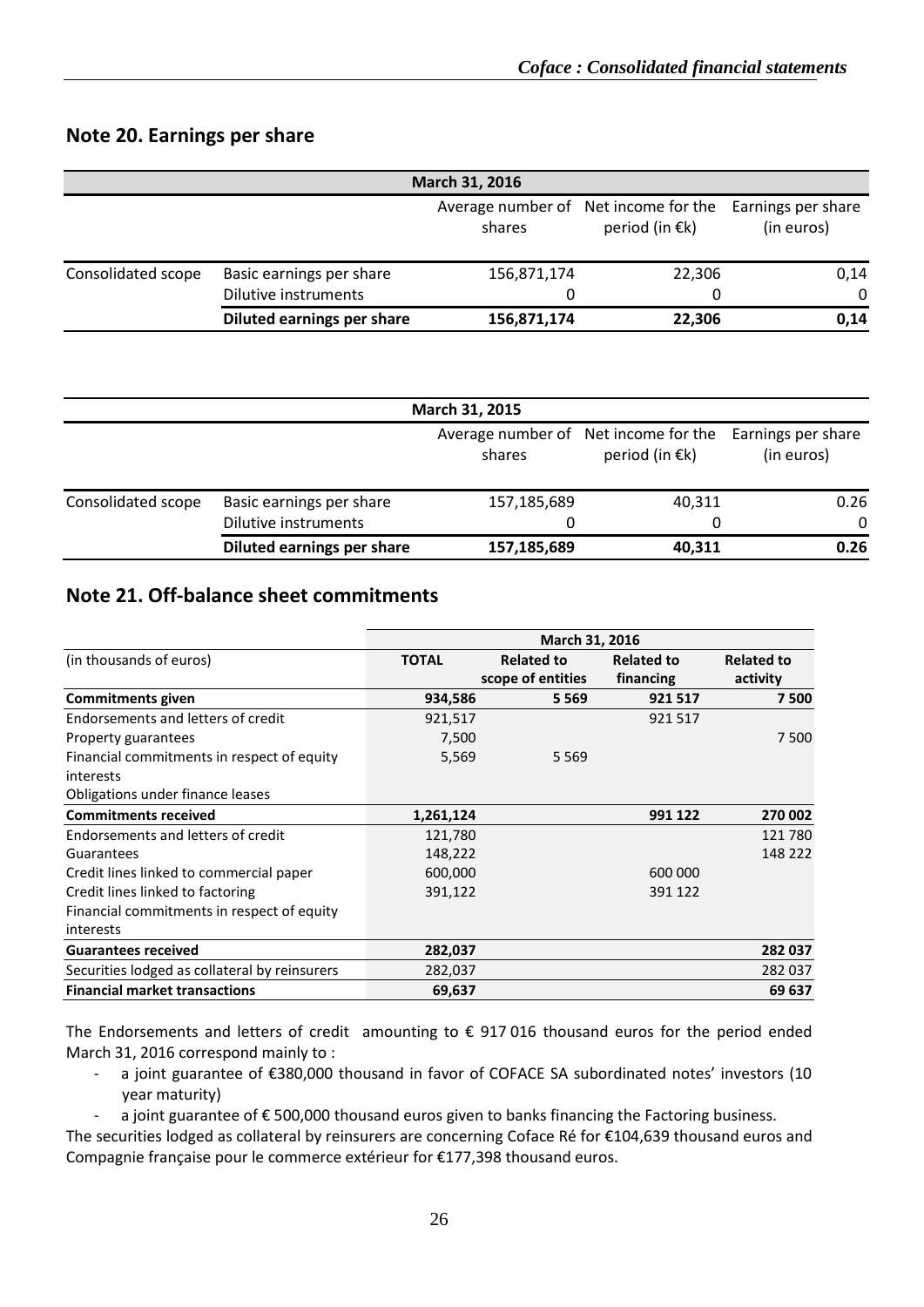### <span id="page-25-0"></span>**Note 20. Earnings per share**

|                    |                            | March 31, 2016 |                                                                  |                                  |
|--------------------|----------------------------|----------------|------------------------------------------------------------------|----------------------------------|
|                    |                            | shares         | Average number of Net income for the<br>period (in $\epsilon$ k) | Earnings per share<br>(in euros) |
| Consolidated scope | Basic earnings per share   | 156,871,174    | 22,306                                                           | 0,14                             |
|                    | Dilutive instruments       |                | 0                                                                | $\Omega$                         |
|                    | Diluted earnings per share | 156,871,174    | 22,306                                                           | 0,14                             |

|                    |                            | March 31, 2015 |                                                                  |                                  |
|--------------------|----------------------------|----------------|------------------------------------------------------------------|----------------------------------|
|                    |                            | shares         | Average number of Net income for the<br>period (in $\epsilon$ k) | Earnings per share<br>(in euros) |
| Consolidated scope | Basic earnings per share   | 157,185,689    | 40,311                                                           | 0.26                             |
|                    | Dilutive instruments       |                | 0                                                                | $\Omega$                         |
|                    | Diluted earnings per share | 157,185,689    | 40,311                                                           | 0.26                             |

#### <span id="page-25-1"></span>**Note 21. Off-balance sheet commitments**

|                                               | March 31, 2016 |                   |                   |                   |  |  |  |
|-----------------------------------------------|----------------|-------------------|-------------------|-------------------|--|--|--|
| (in thousands of euros)                       | <b>TOTAL</b>   | <b>Related to</b> | <b>Related to</b> | <b>Related to</b> |  |  |  |
|                                               |                | scope of entities | financing         | activity          |  |  |  |
| <b>Commitments given</b>                      | 934,586        | 5 5 6 9           | 921 517           | 7500              |  |  |  |
| Endorsements and letters of credit            | 921,517        |                   | 921 517           |                   |  |  |  |
| Property guarantees                           | 7,500          |                   |                   | 7500              |  |  |  |
| Financial commitments in respect of equity    | 5,569          | 5 5 6 9           |                   |                   |  |  |  |
| interests                                     |                |                   |                   |                   |  |  |  |
| Obligations under finance leases              |                |                   |                   |                   |  |  |  |
| <b>Commitments received</b>                   | 1,261,124      |                   | 991 122           | 270 002           |  |  |  |
| Endorsements and letters of credit            | 121,780        |                   |                   | 121780            |  |  |  |
| Guarantees                                    | 148,222        |                   |                   | 148 222           |  |  |  |
| Credit lines linked to commercial paper       | 600,000        |                   | 600 000           |                   |  |  |  |
| Credit lines linked to factoring              | 391,122        |                   | 391 122           |                   |  |  |  |
| Financial commitments in respect of equity    |                |                   |                   |                   |  |  |  |
| interests                                     |                |                   |                   |                   |  |  |  |
| <b>Guarantees received</b>                    | 282,037        |                   |                   | 282 037           |  |  |  |
| Securities lodged as collateral by reinsurers | 282,037        |                   |                   | 282 037           |  |  |  |
| <b>Financial market transactions</b>          | 69,637         |                   |                   | 69 637            |  |  |  |

The Endorsements and letters of credit amounting to  $\epsilon$  917 016 thousand euros for the period ended March 31, 2016 correspond mainly to :

- a joint guarantee of €380,000 thousand in favor of COFACE SA subordinated notes' investors (10 year maturity)
- a joint guarantee of € 500,000 thousand euros given to banks financing the Factoring business.

The securities lodged as collateral by reinsurers are concerning Coface Ré for €104,639 thousand euros and Compagnie française pour le commerce extérieur for €177,398 thousand euros.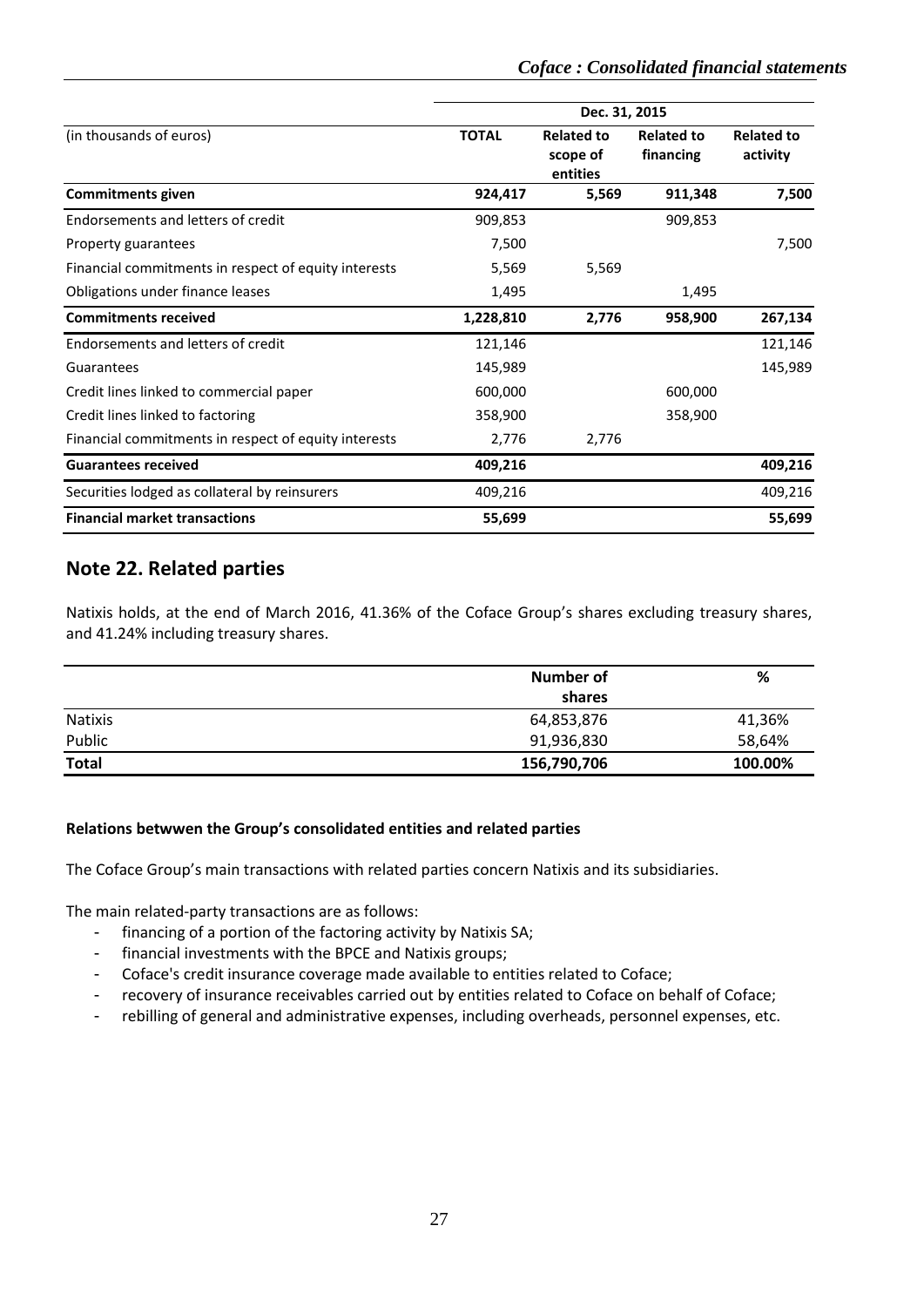|                                                      | Dec. 31, 2015 |                                           |                                |                               |  |  |  |
|------------------------------------------------------|---------------|-------------------------------------------|--------------------------------|-------------------------------|--|--|--|
| (in thousands of euros)                              | <b>TOTAL</b>  | <b>Related to</b><br>scope of<br>entities | <b>Related to</b><br>financing | <b>Related to</b><br>activity |  |  |  |
| <b>Commitments given</b>                             | 924,417       | 5,569                                     | 911,348                        | 7,500                         |  |  |  |
| Endorsements and letters of credit                   | 909,853       |                                           | 909,853                        |                               |  |  |  |
| Property guarantees                                  | 7,500         |                                           |                                | 7,500                         |  |  |  |
| Financial commitments in respect of equity interests | 5,569         | 5,569                                     |                                |                               |  |  |  |
| Obligations under finance leases                     | 1,495         |                                           | 1,495                          |                               |  |  |  |
| <b>Commitments received</b>                          | 1,228,810     | 2,776                                     | 958,900                        | 267,134                       |  |  |  |
| Endorsements and letters of credit                   | 121,146       |                                           |                                | 121,146                       |  |  |  |
| Guarantees                                           | 145,989       |                                           |                                | 145,989                       |  |  |  |
| Credit lines linked to commercial paper              | 600,000       |                                           | 600,000                        |                               |  |  |  |
| Credit lines linked to factoring                     | 358,900       |                                           | 358,900                        |                               |  |  |  |
| Financial commitments in respect of equity interests | 2,776         | 2,776                                     |                                |                               |  |  |  |
| <b>Guarantees received</b>                           | 409,216       |                                           |                                | 409,216                       |  |  |  |
| Securities lodged as collateral by reinsurers        | 409,216       |                                           |                                | 409,216                       |  |  |  |
| <b>Financial market transactions</b>                 | 55,699        |                                           |                                | 55,699                        |  |  |  |

### <span id="page-26-0"></span>**Note 22. Related parties**

Natixis holds, at the end of March 2016, 41.36% of the Coface Group's shares excluding treasury shares, and 41.24% including treasury shares.

|                | Number of   | %       |
|----------------|-------------|---------|
|                | shares      |         |
| <b>Natixis</b> | 64,853,876  | 41,36%  |
| Public         | 91,936,830  | 58,64%  |
| <b>Total</b>   | 156,790,706 | 100.00% |

#### **Relations betwwen the Group's consolidated entities and related parties**

The Coface Group's main transactions with related parties concern Natixis and its subsidiaries.

The main related-party transactions are as follows:

- financing of a portion of the factoring activity by Natixis SA;
- financial investments with the BPCE and Natixis groups;
- Coface's credit insurance coverage made available to entities related to Coface;
- recovery of insurance receivables carried out by entities related to Coface on behalf of Coface;
- rebilling of general and administrative expenses, including overheads, personnel expenses, etc.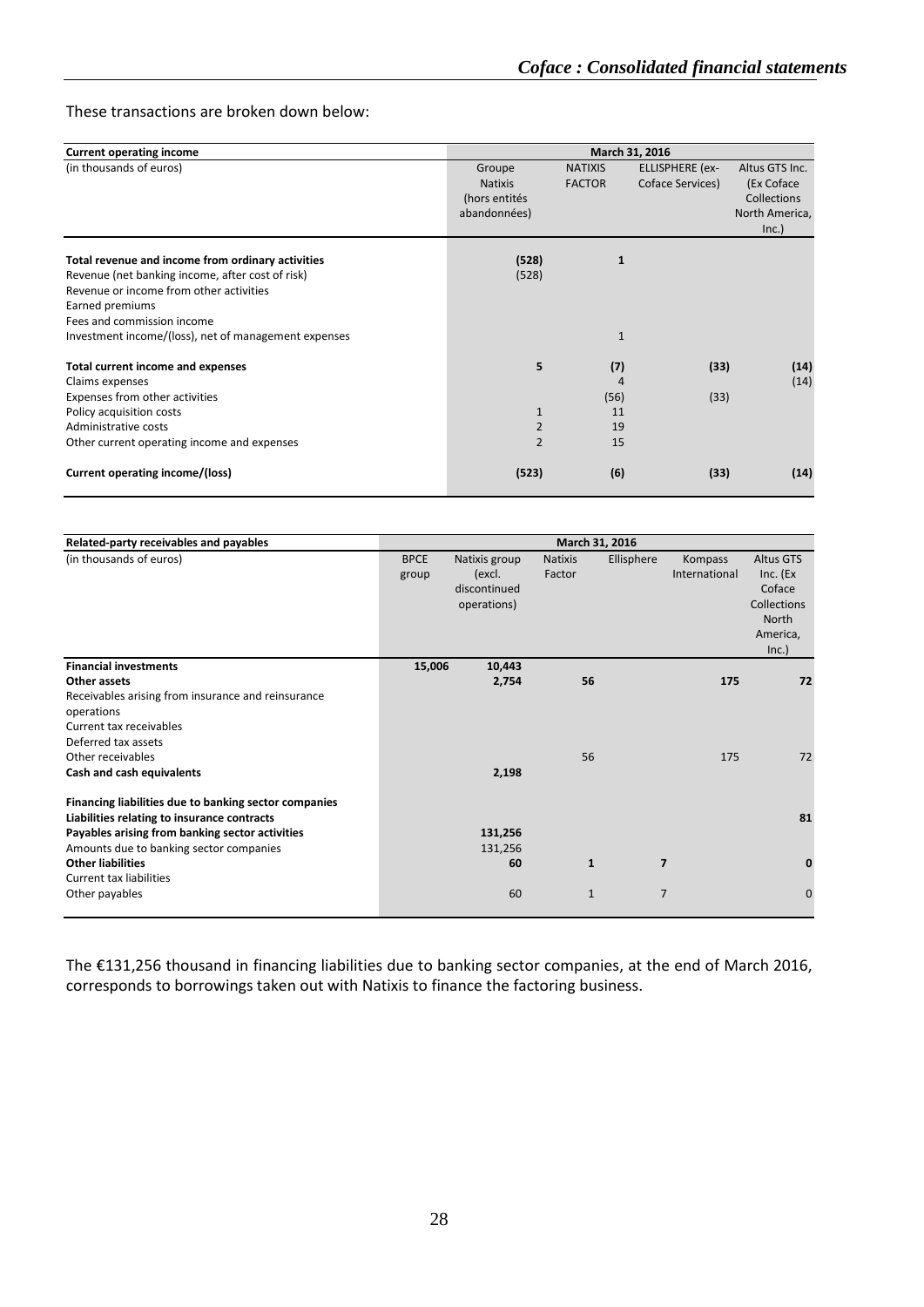#### These transactions are broken down below:

| <b>Current operating income</b>                      |                |                | March 31, 2016         |                    |
|------------------------------------------------------|----------------|----------------|------------------------|--------------------|
|                                                      |                |                |                        |                    |
| (in thousands of euros)                              | Groupe         | <b>NATIXIS</b> | <b>ELLISPHERE</b> (ex- | Altus GTS Inc.     |
|                                                      | <b>Natixis</b> | <b>FACTOR</b>  | Coface Services)       | (Ex Coface         |
|                                                      | (hors entités  |                |                        | <b>Collections</b> |
|                                                      | abandonnées)   |                |                        | North America,     |
|                                                      |                |                |                        | Inc.)              |
|                                                      |                |                |                        |                    |
| Total revenue and income from ordinary activities    | (528)          | $\mathbf{1}$   |                        |                    |
| Revenue (net banking income, after cost of risk)     | (528)          |                |                        |                    |
| Revenue or income from other activities              |                |                |                        |                    |
| Earned premiums                                      |                |                |                        |                    |
| Fees and commission income                           |                |                |                        |                    |
| Investment income/(loss), net of management expenses |                | $\mathbf{1}$   |                        |                    |
| Total current income and expenses                    | 5              | (7)            | (33)                   | (14)               |
| Claims expenses                                      |                | 4              |                        | (14)               |
| Expenses from other activities                       |                | (56)           | (33)                   |                    |
| Policy acquisition costs                             | $\mathbf{1}$   | 11             |                        |                    |
| Administrative costs                                 | $\overline{2}$ | 19             |                        |                    |
| Other current operating income and expenses          | $\overline{2}$ | 15             |                        |                    |
| Current operating income/(loss)                      | (523)          | (6)            | (33)                   | (14)               |

| Related-party receivables and payables                |             |               | March 31, 2016 |                         |               |                    |
|-------------------------------------------------------|-------------|---------------|----------------|-------------------------|---------------|--------------------|
| (in thousands of euros)                               | <b>BPCE</b> | Natixis group | <b>Natixis</b> | Ellisphere              | Kompass       | Altus GTS          |
|                                                       | group       | (excl.        | Factor         |                         | International | Inc. $(Ex)$        |
|                                                       |             | discontinued  |                |                         |               | Coface             |
|                                                       |             | operations)   |                |                         |               | <b>Collections</b> |
|                                                       |             |               |                |                         |               | <b>North</b>       |
|                                                       |             |               |                |                         |               | America,           |
|                                                       |             |               |                |                         |               | Inc.)              |
| <b>Financial investments</b>                          | 15,006      | 10,443        |                |                         |               |                    |
| Other assets                                          |             | 2,754         | 56             |                         | 175           | 72                 |
| Receivables arising from insurance and reinsurance    |             |               |                |                         |               |                    |
| operations                                            |             |               |                |                         |               |                    |
| Current tax receivables                               |             |               |                |                         |               |                    |
| Deferred tax assets                                   |             |               |                |                         |               |                    |
| Other receivables                                     |             |               | 56             |                         | 175           | 72                 |
| Cash and cash equivalents                             |             | 2,198         |                |                         |               |                    |
| Financing liabilities due to banking sector companies |             |               |                |                         |               |                    |
| Liabilities relating to insurance contracts           |             |               |                |                         |               | 81                 |
| Payables arising from banking sector activities       |             | 131,256       |                |                         |               |                    |
| Amounts due to banking sector companies               |             | 131,256       |                |                         |               |                    |
| <b>Other liabilities</b>                              |             | 60            | $\mathbf{1}$   | $\overline{\mathbf{z}}$ |               | 0                  |
| <b>Current tax liabilities</b>                        |             |               |                |                         |               |                    |
| Other payables                                        |             | 60            | $\mathbf{1}$   | $\overline{7}$          |               | $\mathbf 0$        |
|                                                       |             |               |                |                         |               |                    |

The €131,256 thousand in financing liabilities due to banking sector companies, at the end of March 2016, corresponds to borrowings taken out with Natixis to finance the factoring business.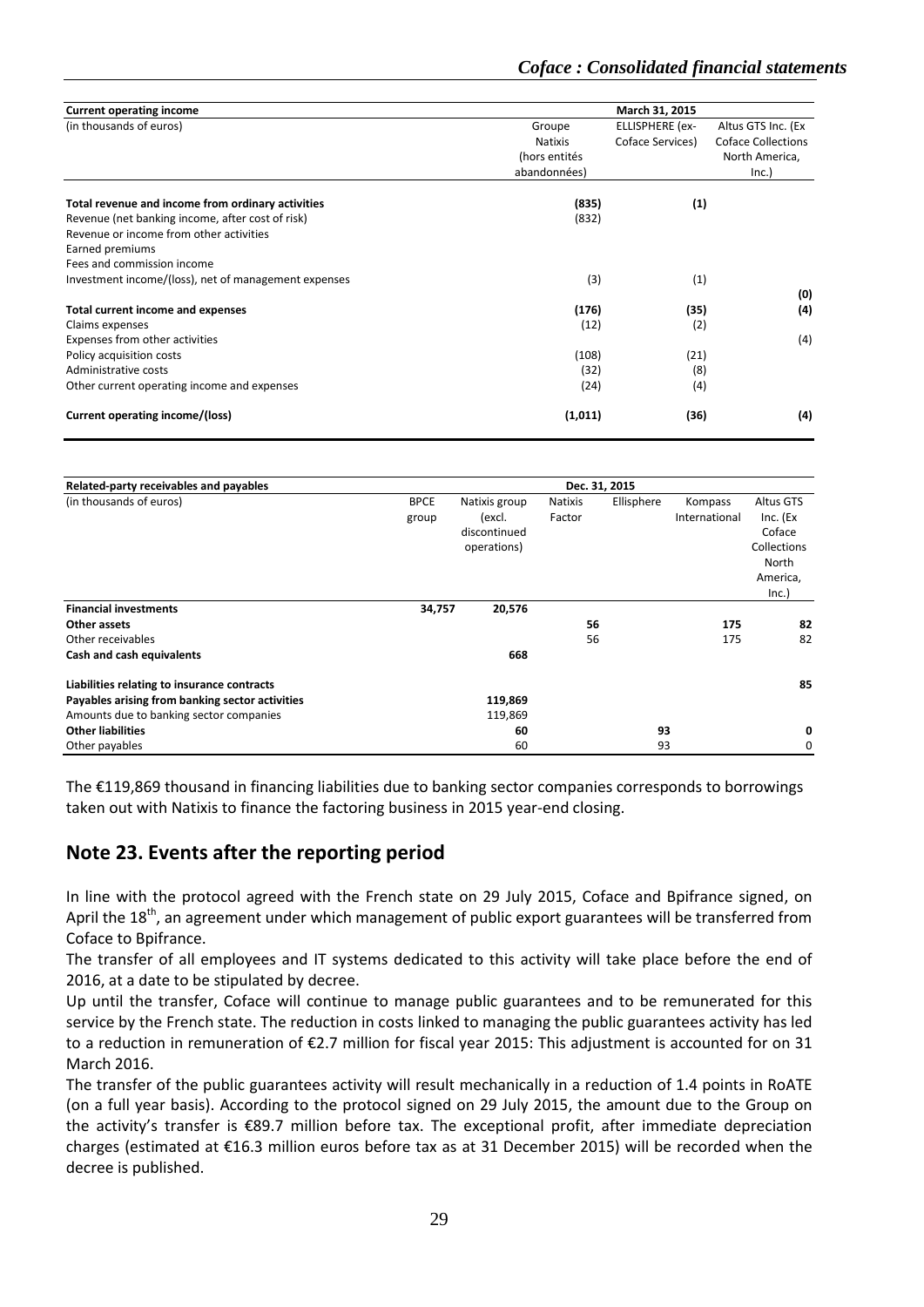| <b>Current operating income</b>                      | March 31, 2015 |                        |                           |  |  |  |  |
|------------------------------------------------------|----------------|------------------------|---------------------------|--|--|--|--|
| (in thousands of euros)                              | Groupe         | <b>ELLISPHERE</b> (ex- | Altus GTS Inc. (Ex        |  |  |  |  |
|                                                      | Natixis        | Coface Services)       | <b>Coface Collections</b> |  |  |  |  |
|                                                      | (hors entités  |                        | North America,            |  |  |  |  |
|                                                      | abandonnées)   |                        | Inc.)                     |  |  |  |  |
| Total revenue and income from ordinary activities    | (835)          | (1)                    |                           |  |  |  |  |
| Revenue (net banking income, after cost of risk)     | (832)          |                        |                           |  |  |  |  |
| Revenue or income from other activities              |                |                        |                           |  |  |  |  |
| Earned premiums                                      |                |                        |                           |  |  |  |  |
| Fees and commission income                           |                |                        |                           |  |  |  |  |
| Investment income/(loss), net of management expenses | (3)            | (1)                    |                           |  |  |  |  |
|                                                      |                |                        | (0)                       |  |  |  |  |
| Total current income and expenses                    | (176)          | (35)                   | (4)                       |  |  |  |  |
| Claims expenses                                      | (12)           | (2)                    |                           |  |  |  |  |
| Expenses from other activities                       |                |                        | (4)                       |  |  |  |  |
| Policy acquisition costs                             | (108)          | (21)                   |                           |  |  |  |  |
| Administrative costs                                 | (32)           | (8)                    |                           |  |  |  |  |
| Other current operating income and expenses          | (24)           | (4)                    |                           |  |  |  |  |
| Current operating income/(loss)                      | (1,011)        | (36)                   | (4)                       |  |  |  |  |

| Related-party receivables and payables          |             |               | Dec. 31, 2015 |            |               |             |
|-------------------------------------------------|-------------|---------------|---------------|------------|---------------|-------------|
| (in thousands of euros)                         | <b>BPCE</b> | Natixis group | Natixis       | Ellisphere | Kompass       | Altus GTS   |
|                                                 | group       | (excl.        | Factor        |            | International | $Inc.$ (Ex  |
|                                                 |             | discontinued  |               |            |               | Coface      |
|                                                 |             | operations)   |               |            |               | Collections |
|                                                 |             |               |               |            |               | North       |
|                                                 |             |               |               |            |               | America,    |
|                                                 |             |               |               |            |               | Inc.)       |
| <b>Financial investments</b>                    | 34,757      | 20,576        |               |            |               |             |
| Other assets                                    |             |               | 56            |            | 175           | 82          |
| Other receivables                               |             |               | 56            |            | 175           | 82          |
| Cash and cash equivalents                       |             | 668           |               |            |               |             |
| Liabilities relating to insurance contracts     |             |               |               |            |               | 85          |
| Payables arising from banking sector activities |             | 119,869       |               |            |               |             |
| Amounts due to banking sector companies         |             | 119,869       |               |            |               |             |
| <b>Other liabilities</b>                        |             | 60            |               | 93         |               | 0           |
| Other payables                                  |             | 60            |               | 93         |               | 0           |

The €119,869 thousand in financing liabilities due to banking sector companies corresponds to borrowings taken out with Natixis to finance the factoring business in 2015 year-end closing.

### <span id="page-28-0"></span>**Note 23. Events after the reporting period**

In line with the protocol agreed with the French state on 29 July 2015, Coface and Bpifrance signed, on April the 18<sup>th</sup>, an agreement under which management of public export guarantees will be transferred from Coface to Bpifrance.

The transfer of all employees and IT systems dedicated to this activity will take place before the end of 2016, at a date to be stipulated by decree.

Up until the transfer, Coface will continue to manage public guarantees and to be remunerated for this service by the French state. The reduction in costs linked to managing the public guarantees activity has led to a reduction in remuneration of €2.7 million for fiscal year 2015: This adjustment is accounted for on 31 March 2016.

The transfer of the public guarantees activity will result mechanically in a reduction of 1.4 points in RoATE (on a full year basis). According to the protocol signed on 29 July 2015, the amount due to the Group on the activity's transfer is €89.7 million before tax. The exceptional profit, after immediate depreciation charges (estimated at €16.3 million euros before tax as at 31 December 2015) will be recorded when the decree is published.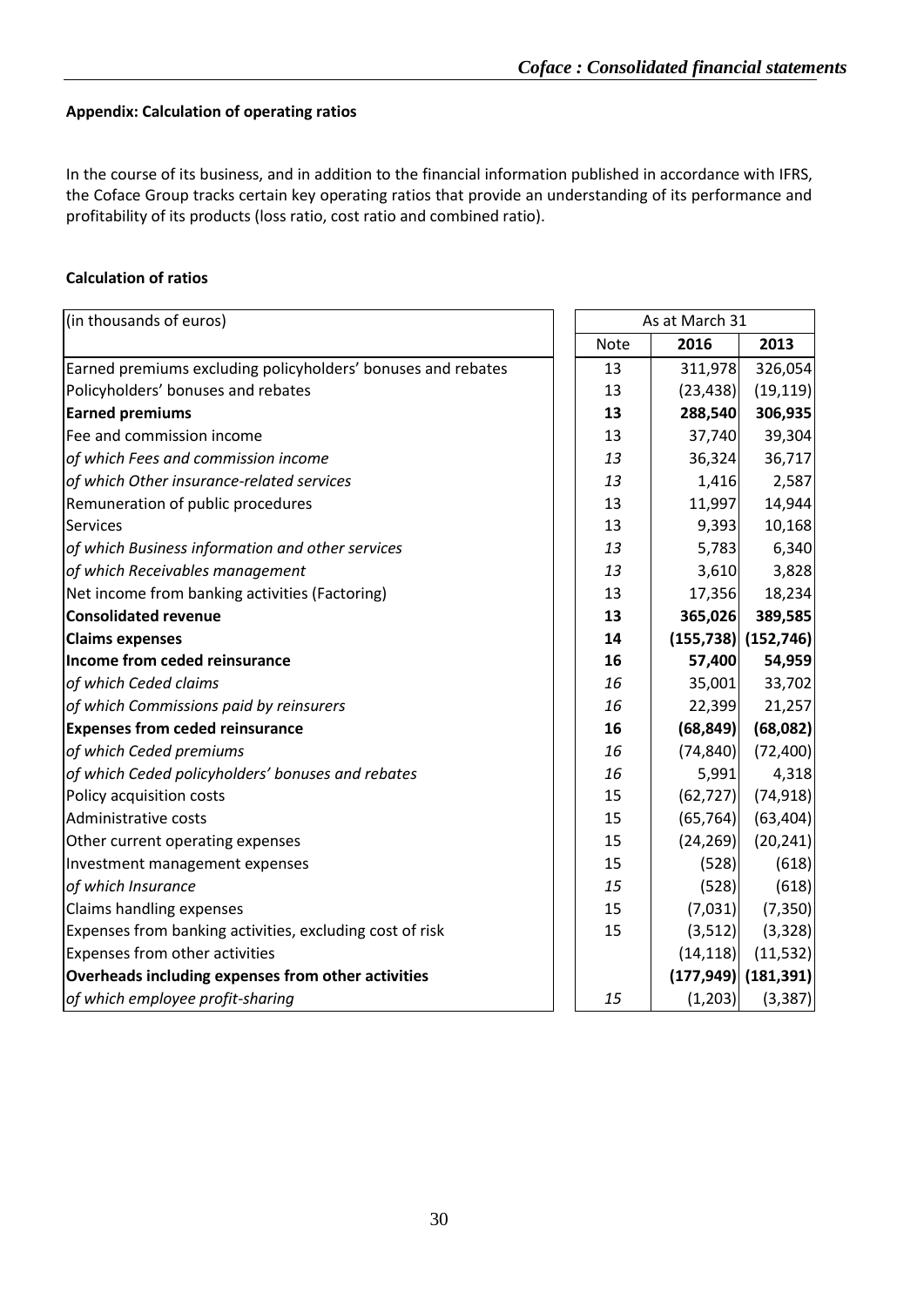#### **Appendix: Calculation of operating ratios**

In the course of its business, and in addition to the financial information published in accordance with IFRS, the Coface Group tracks certain key operating ratios that provide an understanding of its performance and profitability of its products (loss ratio, cost ratio and combined ratio).

#### **Calculation of ratios**

| As at March 31<br>(in thousands of euros)                    |  |             |            |                       |
|--------------------------------------------------------------|--|-------------|------------|-----------------------|
|                                                              |  | <b>Note</b> | 2016       | 2013                  |
| Earned premiums excluding policyholders' bonuses and rebates |  | 13          | 311,978    | 326,054               |
| Policyholders' bonuses and rebates                           |  | 13          | (23, 438)  | (19, 119)             |
| <b>Earned premiums</b>                                       |  | 13          | 288,540    | 306,935               |
| Fee and commission income                                    |  | 13          | 37,740     | 39,304                |
| of which Fees and commission income                          |  | 13          | 36,324     | 36,717                |
| of which Other insurance-related services                    |  | 13          | 1,416      | 2,587                 |
| Remuneration of public procedures                            |  | 13          | 11,997     | 14,944                |
| <b>Services</b>                                              |  | 13          | 9,393      | 10,168                |
| of which Business information and other services             |  | 13          | 5,783      | 6,340                 |
| of which Receivables management                              |  | 13          | 3,610      | 3,828                 |
| Net income from banking activities (Factoring)               |  | 13          | 17,356     | 18,234                |
| <b>Consolidated revenue</b>                                  |  | 13          | 365,026    | 389,585               |
| <b>Claims expenses</b>                                       |  | 14          | (155, 738) | (152, 746)            |
| Income from ceded reinsurance                                |  | 16          | 57,400     | 54,959                |
| of which Ceded claims                                        |  | 16          | 35,001     | 33,702                |
| of which Commissions paid by reinsurers                      |  | 16          | 22,399     | 21,257                |
| <b>Expenses from ceded reinsurance</b>                       |  | 16          | (68, 849)  | (68,082)              |
| of which Ceded premiums                                      |  | 16          | (74, 840)  | (72, 400)             |
| of which Ceded policyholders' bonuses and rebates            |  | 16          | 5,991      | 4,318                 |
| Policy acquisition costs                                     |  | 15          | (62, 727)  | (74, 918)             |
| Administrative costs                                         |  | 15          | (65, 764)  | (63, 404)             |
| Other current operating expenses                             |  | 15          | (24, 269)  | (20, 241)             |
| Investment management expenses                               |  | 15          | (528)      | (618)                 |
| of which Insurance                                           |  | 15          | (528)      | (618)                 |
| Claims handling expenses                                     |  | 15          | (7,031)    | (7, 350)              |
| Expenses from banking activities, excluding cost of risk     |  | 15          | (3, 512)   | (3, 328)              |
| Expenses from other activities                               |  |             | (14, 118)  | (11, 532)             |
| Overheads including expenses from other activities           |  |             |            | $(177,949)$ (181,391) |
| of which employee profit-sharing                             |  | 15          | (1, 203)   | (3, 387)              |